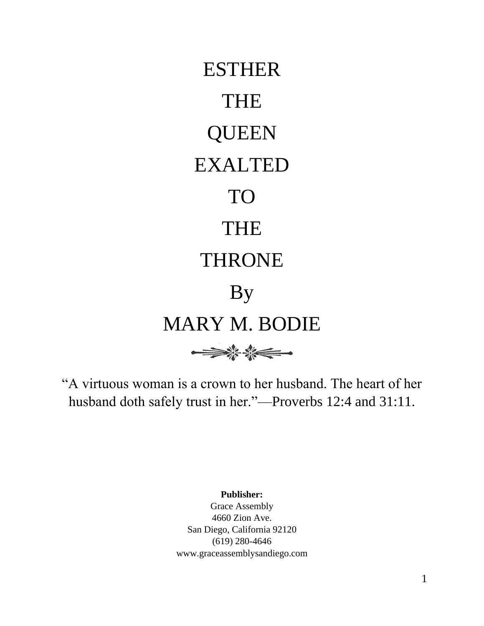

"A virtuous woman is a crown to her husband. The heart of her husband doth safely trust in her."—Proverbs 12:4 and 31:11.

**Publisher:**

Grace Assembly 4660 Zion Ave. San Diego, California 92120 (619) 280-4646 www.graceassemblysandiego.com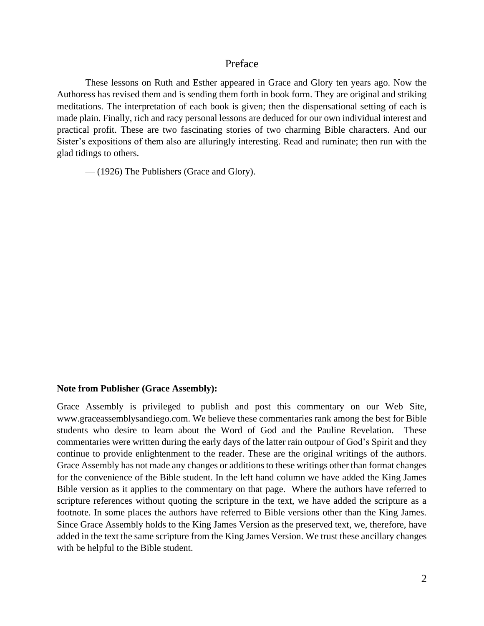## Preface

These lessons on Ruth and Esther appeared in Grace and Glory ten years ago. Now the Authoress has revised them and is sending them forth in book form. They are original and striking meditations. The interpretation of each book is given; then the dispensational setting of each is made plain. Finally, rich and racy personal lessons are deduced for our own individual interest and practical profit. These are two fascinating stories of two charming Bible characters. And our Sister's expositions of them also are alluringly interesting. Read and ruminate; then run with the glad tidings to others.

— (1926) The Publishers (Grace and Glory).

#### **Note from Publisher (Grace Assembly):**

Grace Assembly is privileged to publish and post this commentary on our Web Site, www.graceassemblysandiego.com. We believe these commentaries rank among the best for Bible students who desire to learn about the Word of God and the Pauline Revelation. These commentaries were written during the early days of the latter rain outpour of God's Spirit and they continue to provide enlightenment to the reader. These are the original writings of the authors. Grace Assembly has not made any changes or additions to these writings other than format changes for the convenience of the Bible student. In the left hand column we have added the King James Bible version as it applies to the commentary on that page. Where the authors have referred to scripture references without quoting the scripture in the text, we have added the scripture as a footnote. In some places the authors have referred to Bible versions other than the King James. Since Grace Assembly holds to the King James Version as the preserved text, we, therefore, have added in the text the same scripture from the King James Version. We trust these ancillary changes with be helpful to the Bible student.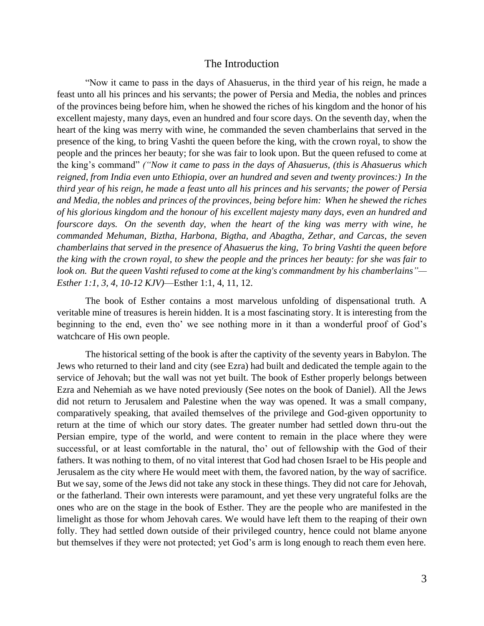#### The Introduction

"Now it came to pass in the days of Ahasuerus, in the third year of his reign, he made a feast unto all his princes and his servants; the power of Persia and Media, the nobles and princes of the provinces being before him, when he showed the riches of his kingdom and the honor of his excellent majesty, many days, even an hundred and four score days. On the seventh day, when the heart of the king was merry with wine, he commanded the seven chamberlains that served in the presence of the king, to bring Vashti the queen before the king, with the crown royal, to show the people and the princes her beauty; for she was fair to look upon. But the queen refused to come at the king's command" *("Now it came to pass in the days of Ahasuerus, (this is Ahasuerus which reigned, from India even unto Ethiopia, over an hundred and seven and twenty provinces:) In the third year of his reign, he made a feast unto all his princes and his servants; the power of Persia and Media, the nobles and princes of the provinces, being before him: When he shewed the riches of his glorious kingdom and the honour of his excellent majesty many days, even an hundred and fourscore days. On the seventh day, when the heart of the king was merry with wine, he commanded Mehuman, Biztha, Harbona, Bigtha, and Abagtha, Zethar, and Carcas, the seven chamberlains that served in the presence of Ahasuerus the king, To bring Vashti the queen before the king with the crown royal, to shew the people and the princes her beauty: for she was fair to look on. But the queen Vashti refused to come at the king's commandment by his chamberlains"— Esther 1:1, 3, 4, 10-12 KJV)*—Esther 1:1, 4, 11, 12.

The book of Esther contains a most marvelous unfolding of dispensational truth. A veritable mine of treasures is herein hidden. It is a most fascinating story. It is interesting from the beginning to the end, even tho' we see nothing more in it than a wonderful proof of God's watchcare of His own people.

The historical setting of the book is after the captivity of the seventy years in Babylon. The Jews who returned to their land and city (see Ezra) had built and dedicated the temple again to the service of Jehovah; but the wall was not yet built. The book of Esther properly belongs between Ezra and Nehemiah as we have noted previously (See notes on the book of Daniel). All the Jews did not return to Jerusalem and Palestine when the way was opened. It was a small company, comparatively speaking, that availed themselves of the privilege and God-given opportunity to return at the time of which our story dates. The greater number had settled down thru-out the Persian empire, type of the world, and were content to remain in the place where they were successful, or at least comfortable in the natural, tho' out of fellowship with the God of their fathers. It was nothing to them, of no vital interest that God had chosen Israel to be His people and Jerusalem as the city where He would meet with them, the favored nation, by the way of sacrifice. But we say, some of the Jews did not take any stock in these things. They did not care for Jehovah, or the fatherland. Their own interests were paramount, and yet these very ungrateful folks are the ones who are on the stage in the book of Esther. They are the people who are manifested in the limelight as those for whom Jehovah cares. We would have left them to the reaping of their own folly. They had settled down outside of their privileged country, hence could not blame anyone but themselves if they were not protected; yet God's arm is long enough to reach them even here.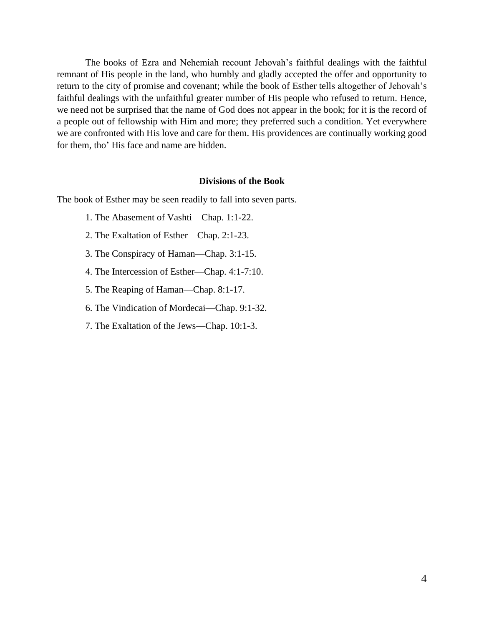The books of Ezra and Nehemiah recount Jehovah's faithful dealings with the faithful remnant of His people in the land, who humbly and gladly accepted the offer and opportunity to return to the city of promise and covenant; while the book of Esther tells altogether of Jehovah's faithful dealings with the unfaithful greater number of His people who refused to return. Hence, we need not be surprised that the name of God does not appear in the book; for it is the record of a people out of fellowship with Him and more; they preferred such a condition. Yet everywhere we are confronted with His love and care for them. His providences are continually working good for them, tho' His face and name are hidden.

#### **Divisions of the Book**

The book of Esther may be seen readily to fall into seven parts.

- 1. The Abasement of Vashti—Chap. 1:1-22.
- 2. The Exaltation of Esther—Chap. 2:1-23.
- 3. The Conspiracy of Haman—Chap. 3:1-15.
- 4. The Intercession of Esther—Chap. 4:1-7:10.
- 5. The Reaping of Haman—Chap. 8:1-17.
- 6. The Vindication of Mordecai—Chap. 9:1-32.
- 7. The Exaltation of the Jews—Chap. 10:1-3.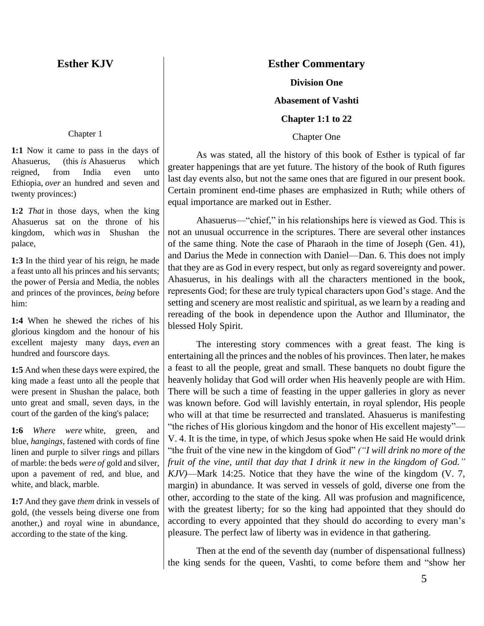# **Esther KJV**

# **Esther Commentary**

## **Division One**

**Abasement of Vashti**

**Chapter 1:1 to 22**

Chapter One

As was stated, all the history of this book of Esther is typical of far greater happenings that are yet future. The history of the book of Ruth figures last day events also, but not the same ones that are figured in our present book. Certain prominent end-time phases are emphasized in Ruth; while others of equal importance are marked out in Esther.

Ahasuerus—"chief," in his relationships here is viewed as God. This is not an unusual occurrence in the scriptures. There are several other instances of the same thing. Note the case of Pharaoh in the time of Joseph (Gen. 41), and Darius the Mede in connection with Daniel—Dan. 6. This does not imply that they are as God in every respect, but only as regard sovereignty and power. Ahasuerus, in his dealings with all the characters mentioned in the book, represents God; for these are truly typical characters upon God's stage. And the setting and scenery are most realistic and spiritual, as we learn by a reading and rereading of the book in dependence upon the Author and Illuminator, the blessed Holy Spirit.

The interesting story commences with a great feast. The king is entertaining all the princes and the nobles of his provinces. Then later, he makes a feast to all the people, great and small. These banquets no doubt figure the heavenly holiday that God will order when His heavenly people are with Him. There will be such a time of feasting in the upper galleries in glory as never was known before. God will lavishly entertain, in royal splendor, His people who will at that time be resurrected and translated. Ahasuerus is manifesting "the riches of His glorious kingdom and the honor of His excellent majesty"— V. 4. It is the time, in type, of which Jesus spoke when He said He would drink "the fruit of the vine new in the kingdom of God" *("I will drink no more of the fruit of the vine, until that day that I drink it new in the kingdom of God." KJV)*—Mark 14:25. Notice that they have the wine of the kingdom (V. 7, margin) in abundance. It was served in vessels of gold, diverse one from the other, according to the state of the king. All was profusion and magnificence, with the greatest liberty; for so the king had appointed that they should do according to every appointed that they should do according to every man's pleasure. The perfect law of liberty was in evidence in that gathering.

Then at the end of the seventh day (number of dispensational fullness) the king sends for the queen, Vashti, to come before them and "show her

#### Chapter 1

**1:1** Now it came to pass in the days of Ahasuerus, (this *is* Ahasuerus which reigned, from India even unto Ethiopia, *over* an hundred and seven and twenty provinces:)

**1:2** *That* in those days, when the king Ahasuerus sat on the throne of his kingdom, which *was* in Shushan the palace,

**1:3** In the third year of his reign, he made a feast unto all his princes and his servants; the power of Persia and Media, the nobles and princes of the provinces, *being* before him:

**1:4** When he shewed the riches of his glorious kingdom and the honour of his excellent majesty many days, *even* an hundred and fourscore days.

**1:5** And when these days were expired, the king made a feast unto all the people that were present in Shushan the palace, both unto great and small, seven days, in the court of the garden of the king's palace;

**1:6** *Where were* white, green, and blue, *hangings*, fastened with cords of fine linen and purple to silver rings and pillars of marble: the beds *were of* gold and silver, upon a pavement of red, and blue, and white, and black, marble.

**1:7** And they gave *them* drink in vessels of gold, (the vessels being diverse one from another,) and royal wine in abundance, according to the state of the king.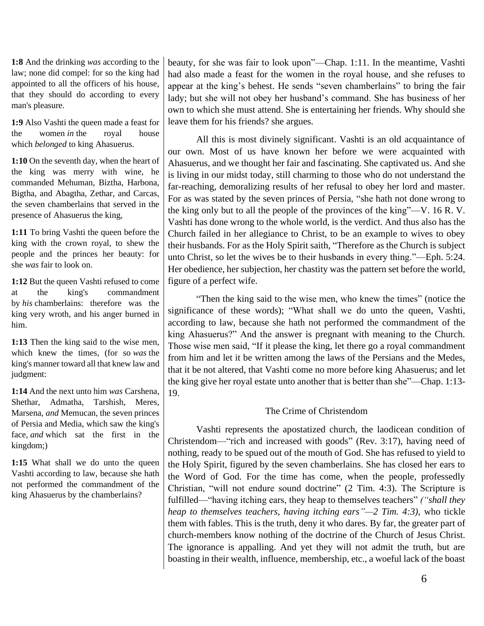**1:8** And the drinking *was* according to the law; none did compel: for so the king had appointed to all the officers of his house, that they should do according to every man's pleasure.

**1:9** Also Vashti the queen made a feast for the women *in* the royal house which *belonged* to king Ahasuerus.

**1:10** On the seventh day, when the heart of the king was merry with wine, he commanded Mehuman, Biztha, Harbona, Bigtha, and Abagtha, Zethar, and Carcas, the seven chamberlains that served in the presence of Ahasuerus the king,

**1:11** To bring Vashti the queen before the king with the crown royal, to shew the people and the princes her beauty: for she *was* fair to look on.

**1:12** But the queen Vashti refused to come at the king's commandment by *his* chamberlains: therefore was the king very wroth, and his anger burned in him.

**1:13** Then the king said to the wise men, which knew the times, (for so *was* the king's manner toward all that knew law and judgment:

**1:14** And the next unto him *was* Carshena, Shethar, Admatha, Tarshish, Meres, Marsena, *and* Memucan, the seven princes of Persia and Media, which saw the king's face, *and* which sat the first in the kingdom;)

1:15 What shall we do unto the queen Vashti according to law, because she hath not performed the commandment of the king Ahasuerus by the chamberlains?

beauty, for she was fair to look upon"—Chap. 1:11. In the meantime, Vashti had also made a feast for the women in the royal house, and she refuses to appear at the king's behest. He sends "seven chamberlains" to bring the fair lady; but she will not obey her husband's command. She has business of her own to which she must attend. She is entertaining her friends. Why should she leave them for his friends? she argues.

All this is most divinely significant. Vashti is an old acquaintance of our own. Most of us have known her before we were acquainted with Ahasuerus, and we thought her fair and fascinating. She captivated us. And she is living in our midst today, still charming to those who do not understand the far-reaching, demoralizing results of her refusal to obey her lord and master. For as was stated by the seven princes of Persia, "she hath not done wrong to the king only but to all the people of the provinces of the king"—V. 16 R. V. Vashti has done wrong to the whole world, is the verdict. And thus also has the Church failed in her allegiance to Christ, to be an example to wives to obey their husbands. For as the Holy Spirit saith, "Therefore as the Church is subject unto Christ, so let the wives be to their husbands in every thing."—Eph. 5:24. Her obedience, her subjection, her chastity was the pattern set before the world, figure of a perfect wife.

"Then the king said to the wise men, who knew the times" (notice the significance of these words); "What shall we do unto the queen, Vashti, according to law, because she hath not performed the commandment of the king Ahasuerus?" And the answer is pregnant with meaning to the Church. Those wise men said, "If it please the king, let there go a royal commandment from him and let it be written among the laws of the Persians and the Medes, that it be not altered, that Vashti come no more before king Ahasuerus; and let the king give her royal estate unto another that is better than she"—Chap. 1:13- 19.

# The Crime of Christendom

Vashti represents the apostatized church, the laodicean condition of Christendom—"rich and increased with goods" (Rev. 3:17), having need of nothing, ready to be spued out of the mouth of God. She has refused to yield to the Holy Spirit, figured by the seven chamberlains. She has closed her ears to the Word of God. For the time has come, when the people, professedly Christian, "will not endure sound doctrine" (2 Tim. 4:3). The Scripture is fulfilled—"having itching ears, they heap to themselves teachers" *("shall they heap to themselves teachers, having itching ears"—2 Tim. 4:3)*, who tickle them with fables. This is the truth, deny it who dares. By far, the greater part of church-members know nothing of the doctrine of the Church of Jesus Christ. The ignorance is appalling. And yet they will not admit the truth, but are boasting in their wealth, influence, membership, etc., a woeful lack of the boast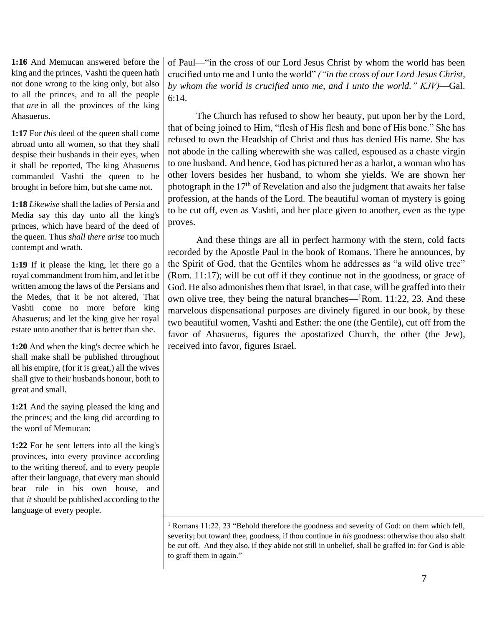**1:16** And Memucan answered before the king and the princes, Vashti the queen hath not done wrong to the king only, but also to all the princes, and to all the people that *are* in all the provinces of the king Ahasuerus.

**1:17** For *this* deed of the queen shall come abroad unto all women, so that they shall despise their husbands in their eyes, when it shall be reported, The king Ahasuerus commanded Vashti the queen to be brought in before him, but she came not.

**1:18** *Likewise* shall the ladies of Persia and Media say this day unto all the king's princes, which have heard of the deed of the queen. Thus *shall there arise* too much contempt and wrath.

**1:19** If it please the king, let there go a royal commandment from him, and let it be written among the laws of the Persians and the Medes, that it be not altered, That Vashti come no more before king Ahasuerus; and let the king give her royal estate unto another that is better than she.

**1:20** And when the king's decree which he shall make shall be published throughout all his empire, (for it is great,) all the wives shall give to their husbands honour, both to great and small.

**1:21** And the saying pleased the king and the princes; and the king did according to the word of Memucan:

**1:22** For he sent letters into all the king's provinces, into every province according to the writing thereof, and to every people after their language, that every man should bear rule in his own house, and that *it* should be published according to the language of every people.

of Paul—"in the cross of our Lord Jesus Christ by whom the world has been crucified unto me and I unto the world" *("in the cross of our Lord Jesus Christ, by whom the world is crucified unto me, and I unto the world." KJV)*—Gal.  $6:14.$ 

The Church has refused to show her beauty, put upon her by the Lord, that of being joined to Him, "flesh of His flesh and bone of His bone." She has refused to own the Headship of Christ and thus has denied His name. She has not abode in the calling wherewith she was called, espoused as a chaste virgin to one husband. And hence, God has pictured her as a harlot, a woman who has other lovers besides her husband, to whom she yields. We are shown her photograph in the  $17<sup>th</sup>$  of Revelation and also the judgment that awaits her false profession, at the hands of the Lord. The beautiful woman of mystery is going to be cut off, even as Vashti, and her place given to another, even as the type proves.

And these things are all in perfect harmony with the stern, cold facts recorded by the Apostle Paul in the book of Romans. There he announces, by the Spirit of God, that the Gentiles whom he addresses as "a wild olive tree" (Rom. 11:17); will be cut off if they continue not in the goodness, or grace of God. He also admonishes them that Israel, in that case, will be graffed into their own olive tree, they being the natural branches—<sup>1</sup>Rom. 11:22, 23. And these marvelous dispensational purposes are divinely figured in our book, by these two beautiful women, Vashti and Esther: the one (the Gentile), cut off from the favor of Ahasuerus, figures the apostatized Church, the other (the Jew), received into favor, figures Israel.

<sup>1</sup> Romans 11:22, 23 "Behold therefore the goodness and severity of God: on them which fell, severity; but toward thee, goodness, if thou continue in *his* goodness: otherwise thou also shalt be cut off. And they also, if they abide not still in unbelief, shall be graffed in: for God is able to graff them in again."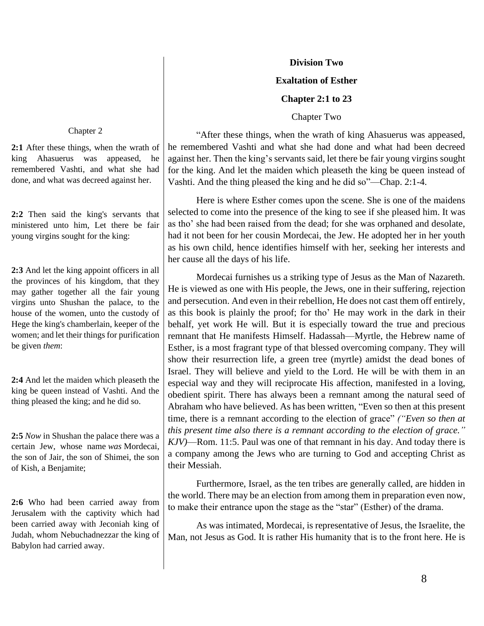## **Division Two**

# **Exaltation of Esther**

## **Chapter 2:1 to 23**

Chapter Two

#### Chapter 2

**2:1** After these things, when the wrath of king Ahasuerus was appeased, he remembered Vashti, and what she had done, and what was decreed against her.

**2:2** Then said the king's servants that ministered unto him, Let there be fair young virgins sought for the king:

**2:3** And let the king appoint officers in all the provinces of his kingdom, that they may gather together all the fair young virgins unto Shushan the palace, to the house of the women, unto the custody of Hege the king's chamberlain, keeper of the women; and let their things for purification be given *them*:

**2:4** And let the maiden which pleaseth the king be queen instead of Vashti. And the thing pleased the king; and he did so.

**2:5** *Now* in Shushan the palace there was a certain Jew, whose name *was* Mordecai, the son of Jair, the son of Shimei, the son of Kish, a Benjamite;

**2:6** Who had been carried away from Jerusalem with the captivity which had been carried away with Jeconiah king of Judah, whom Nebuchadnezzar the king of Babylon had carried away.

"After these things, when the wrath of king Ahasuerus was appeased, he remembered Vashti and what she had done and what had been decreed against her. Then the king's servants said, let there be fair young virgins sought for the king. And let the maiden which pleaseth the king be queen instead of Vashti. And the thing pleased the king and he did so"—Chap. 2:1-4.

Here is where Esther comes upon the scene. She is one of the maidens selected to come into the presence of the king to see if she pleased him. It was as tho' she had been raised from the dead; for she was orphaned and desolate, had it not been for her cousin Mordecai, the Jew. He adopted her in her youth as his own child, hence identifies himself with her, seeking her interests and her cause all the days of his life.

Mordecai furnishes us a striking type of Jesus as the Man of Nazareth. He is viewed as one with His people, the Jews, one in their suffering, rejection and persecution. And even in their rebellion, He does not cast them off entirely, as this book is plainly the proof; for tho' He may work in the dark in their behalf, yet work He will. But it is especially toward the true and precious remnant that He manifests Himself. Hadassah—Myrtle, the Hebrew name of Esther, is a most fragrant type of that blessed overcoming company. They will show their resurrection life, a green tree (myrtle) amidst the dead bones of Israel. They will believe and yield to the Lord. He will be with them in an especial way and they will reciprocate His affection, manifested in a loving, obedient spirit. There has always been a remnant among the natural seed of Abraham who have believed. As has been written, "Even so then at this present time, there is a remnant according to the election of grace" *("Even so then at this present time also there is a remnant according to the election of grace." KJV)*—Rom. 11:5. Paul was one of that remnant in his day. And today there is a company among the Jews who are turning to God and accepting Christ as their Messiah.

Furthermore, Israel, as the ten tribes are generally called, are hidden in the world. There may be an election from among them in preparation even now, to make their entrance upon the stage as the "star" (Esther) of the drama.

As was intimated, Mordecai, is representative of Jesus, the Israelite, the Man, not Jesus as God. It is rather His humanity that is to the front here. He is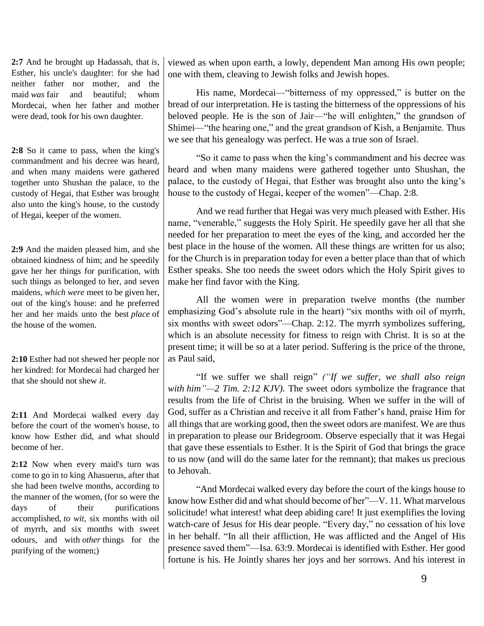**2:7** And he brought up Hadassah, that *is*, Esther, his uncle's daughter: for she had neither father nor mother, and the maid *was* fair and beautiful; whom Mordecai, when her father and mother were dead, took for his own daughter.

**2:8** So it came to pass, when the king's commandment and his decree was heard, and when many maidens were gathered together unto Shushan the palace, to the custody of Hegai, that Esther was brought also unto the king's house, to the custody of Hegai, keeper of the women.

**2:9** And the maiden pleased him, and she obtained kindness of him; and he speedily gave her her things for purification, with such things as belonged to her, and seven maidens, *which were* meet to be given her, out of the king's house: and he preferred her and her maids unto the best *place* of the house of the women.

**2:10** Esther had not shewed her people nor her kindred: for Mordecai had charged her that she should not shew *it*.

**2:11** And Mordecai walked every day before the court of the women's house, to know how Esther did, and what should become of her.

**2:12** Now when every maid's turn was come to go in to king Ahasuerus, after that she had been twelve months, according to the manner of the women, (for so were the days of their purifications accomplished, *to wit*, six months with oil of myrrh, and six months with sweet odours, and with *other* things for the purifying of the women;)

viewed as when upon earth, a lowly, dependent Man among His own people; one with them, cleaving to Jewish folks and Jewish hopes.

His name, Mordecai—"bitterness of my oppressed," is butter on the bread of our interpretation. He is tasting the bitterness of the oppressions of his beloved people. He is the son of Jair—"he will enlighten," the grandson of Shimei—"the hearing one," and the great grandson of Kish, a Benjamite. Thus we see that his genealogy was perfect. He was a true son of Israel.

"So it came to pass when the king's commandment and his decree was heard and when many maidens were gathered together unto Shushan, the palace, to the custody of Hegai, that Esther was brought also unto the king's house to the custody of Hegai, keeper of the women"—Chap. 2:8.

And we read further that Hegai was very much pleased with Esther. His name, "venerable," suggests the Holy Spirit. He speedily gave her all that she needed for her preparation to meet the eyes of the king, and accorded her the best place in the house of the women. All these things are written for us also; for the Church is in preparation today for even a better place than that of which Esther speaks. She too needs the sweet odors which the Holy Spirit gives to make her find favor with the King.

All the women were in preparation twelve months (the number emphasizing God's absolute rule in the heart) "six months with oil of myrrh, six months with sweet odors"—Chap. 2:12. The myrrh symbolizes suffering, which is an absolute necessity for fitness to reign with Christ. It is so at the present time; it will be so at a later period. Suffering is the price of the throne, as Paul said,

"If we suffer we shall reign" *("If we suffer, we shall also reign with him"—2 Tim. 2:12 KJV)*. The sweet odors symbolize the fragrance that results from the life of Christ in the bruising. When we suffer in the will of God, suffer as a Christian and receive it all from Father's hand, praise Him for all things that are working good, then the sweet odors are manifest. We are thus in preparation to please our Bridegroom. Observe especially that it was Hegai that gave these essentials to Esther. It is the Spirit of God that brings the grace to us now (and will do the same later for the remnant); that makes us precious to Jehovah.

"And Mordecai walked every day before the court of the kings house to know how Esther did and what should become of her"—V. 11. What marvelous solicitude! what interest! what deep abiding care! It just exemplifies the loving watch-care of Jesus for His dear people. "Every day," no cessation of his love in her behalf. "In all their affliction, He was afflicted and the Angel of His presence saved them"—Isa. 63:9. Mordecai is identified with Esther. Her good fortune is his. He Jointly shares her joys and her sorrows. And his interest in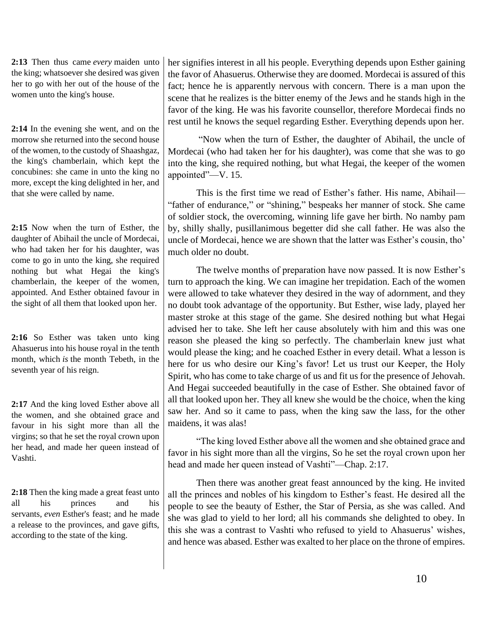**2:13** Then thus came *every* maiden unto the king; whatsoever she desired was given her to go with her out of the house of the women unto the king's house.

**2:14** In the evening she went, and on the morrow she returned into the second house of the women, to the custody of Shaashgaz, the king's chamberlain, which kept the concubines: she came in unto the king no more, except the king delighted in her, and that she were called by name.

**2:15** Now when the turn of Esther, the daughter of Abihail the uncle of Mordecai, who had taken her for his daughter, was come to go in unto the king, she required nothing but what Hegai the king's chamberlain, the keeper of the women, appointed. And Esther obtained favour in the sight of all them that looked upon her.

**2:16** So Esther was taken unto king Ahasuerus into his house royal in the tenth month, which *is* the month Tebeth, in the seventh year of his reign.

**2:17** And the king loved Esther above all the women, and she obtained grace and favour in his sight more than all the virgins; so that he set the royal crown upon her head, and made her queen instead of Vashti.

**2:18** Then the king made a great feast unto all his princes and his servants, *even* Esther's feast; and he made a release to the provinces, and gave gifts, according to the state of the king.

her signifies interest in all his people. Everything depends upon Esther gaining the favor of Ahasuerus. Otherwise they are doomed. Mordecai is assured of this fact; hence he is apparently nervous with concern. There is a man upon the scene that he realizes is the bitter enemy of the Jews and he stands high in the favor of the king. He was his favorite counsellor, therefore Mordecai finds no rest until he knows the sequel regarding Esther. Everything depends upon her.

"Now when the turn of Esther, the daughter of Abihail, the uncle of Mordecai (who had taken her for his daughter), was come that she was to go into the king, she required nothing, but what Hegai, the keeper of the women appointed"—V. 15.

This is the first time we read of Esther's father. His name, Abihail— "father of endurance," or "shining," bespeaks her manner of stock. She came of soldier stock, the overcoming, winning life gave her birth. No namby pam by, shilly shally, pusillanimous begetter did she call father. He was also the uncle of Mordecai, hence we are shown that the latter was Esther's cousin, tho' much older no doubt.

The twelve months of preparation have now passed. It is now Esther's turn to approach the king. We can imagine her trepidation. Each of the women were allowed to take whatever they desired in the way of adornment, and they no doubt took advantage of the opportunity. But Esther, wise lady, played her master stroke at this stage of the game. She desired nothing but what Hegai advised her to take. She left her cause absolutely with him and this was one reason she pleased the king so perfectly. The chamberlain knew just what would please the king; and he coached Esther in every detail. What a lesson is here for us who desire our King's favor! Let us trust our Keeper, the Holy Spirit, who has come to take charge of us and fit us for the presence of Jehovah. And Hegai succeeded beautifully in the case of Esther. She obtained favor of all that looked upon her. They all knew she would be the choice, when the king saw her. And so it came to pass, when the king saw the lass, for the other maidens, it was alas!

"The king loved Esther above all the women and she obtained grace and favor in his sight more than all the virgins, So he set the royal crown upon her head and made her queen instead of Vashti"—Chap. 2:17.

Then there was another great feast announced by the king. He invited all the princes and nobles of his kingdom to Esther's feast. He desired all the people to see the beauty of Esther, the Star of Persia, as she was called. And she was glad to yield to her lord; all his commands she delighted to obey. In this she was a contrast to Vashti who refused to yield to Ahasuerus' wishes, and hence was abased. Esther was exalted to her place on the throne of empires.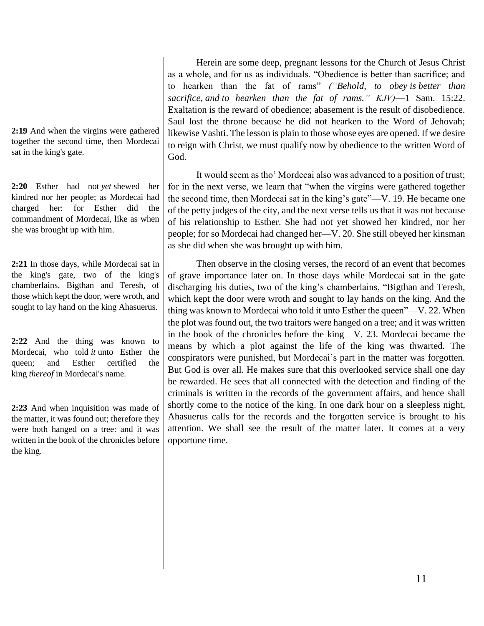**2:19** And when the virgins were gathered together the second time, then Mordecai sat in the king's gate.

**2:20** Esther had not *yet* shewed her kindred nor her people; as Mordecai had charged her: for Esther did the commandment of Mordecai, like as when she was brought up with him.

**2:21** In those days, while Mordecai sat in the king's gate, two of the king's chamberlains, Bigthan and Teresh, of those which kept the door, were wroth, and sought to lay hand on the king Ahasuerus.

**2:22** And the thing was known to Mordecai, who told *it* unto Esther the queen; and Esther certified the king *thereof* in Mordecai's name.

**2:23** And when inquisition was made of the matter, it was found out; therefore they were both hanged on a tree: and it was written in the book of the chronicles before the king.

Herein are some deep, pregnant lessons for the Church of Jesus Christ as a whole, and for us as individuals. "Obedience is better than sacrifice; and to hearken than the fat of rams" *("Behold, to obey is better than sacrifice, and to hearken than the fat of rams." KJV)*—1 Sam. 15:22. Exaltation is the reward of obedience; abasement is the result of disobedience. Saul lost the throne because he did not hearken to the Word of Jehovah; likewise Vashti. The lesson is plain to those whose eyes are opened. If we desire to reign with Christ, we must qualify now by obedience to the written Word of God.

It would seem as tho' Mordecai also was advanced to a position of trust; for in the next verse, we learn that "when the virgins were gathered together the second time, then Mordecai sat in the king's gate"—V. 19. He became one of the petty judges of the city, and the next verse tells us that it was not because of his relationship to Esther. She had not yet showed her kindred, nor her people; for so Mordecai had changed her—V. 20. She still obeyed her kinsman as she did when she was brought up with him.

Then observe in the closing verses, the record of an event that becomes of grave importance later on. In those days while Mordecai sat in the gate discharging his duties, two of the king's chamberlains, "Bigthan and Teresh, which kept the door were wroth and sought to lay hands on the king. And the thing was known to Mordecai who told it unto Esther the queen"—V. 22. When the plot was found out, the two traitors were hanged on a tree; and it was written in the book of the chronicles before the king—V. 23. Mordecai became the means by which a plot against the life of the king was thwarted. The conspirators were punished, but Mordecai's part in the matter was forgotten. But God is over all. He makes sure that this overlooked service shall one day be rewarded. He sees that all connected with the detection and finding of the criminals is written in the records of the government affairs, and hence shall shortly come to the notice of the king. In one dark hour on a sleepless night, Ahasuerus calls for the records and the forgotten service is brought to his attention. We shall see the result of the matter later. It comes at a very opportune time.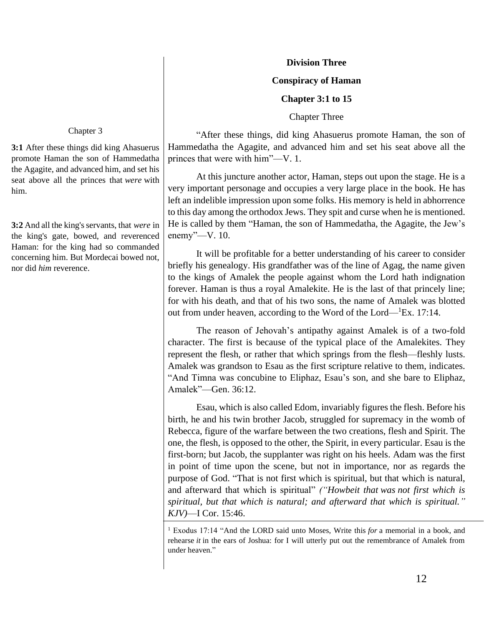## **Division Three**

# **Conspiracy of Haman**

## **Chapter 3:1 to 15**

Chapter Three

"After these things, did king Ahasuerus promote Haman, the son of Hammedatha the Agagite, and advanced him and set his seat above all the princes that were with him"—V. 1.

At this juncture another actor, Haman, steps out upon the stage. He is a very important personage and occupies a very large place in the book. He has left an indelible impression upon some folks. His memory is held in abhorrence to this day among the orthodox Jews. They spit and curse when he is mentioned. He is called by them "Haman, the son of Hammedatha, the Agagite, the Jew's enemy"—V. 10.

It will be profitable for a better understanding of his career to consider briefly his genealogy. His grandfather was of the line of Agag, the name given to the kings of Amalek the people against whom the Lord hath indignation forever. Haman is thus a royal Amalekite. He is the last of that princely line; for with his death, and that of his two sons, the name of Amalek was blotted out from under heaven, according to the Word of the Lord—<sup>1</sup>Ex. 17:14.

The reason of Jehovah's antipathy against Amalek is of a two-fold character. The first is because of the typical place of the Amalekites. They represent the flesh, or rather that which springs from the flesh—fleshly lusts. Amalek was grandson to Esau as the first scripture relative to them, indicates. "And Timna was concubine to Eliphaz, Esau's son, and she bare to Eliphaz, Amalek"—Gen. 36:12.

Esau, which is also called Edom, invariably figures the flesh. Before his birth, he and his twin brother Jacob, struggled for supremacy in the womb of Rebecca, figure of the warfare between the two creations, flesh and Spirit. The one, the flesh, is opposed to the other, the Spirit, in every particular. Esau is the first-born; but Jacob, the supplanter was right on his heels. Adam was the first in point of time upon the scene, but not in importance, nor as regards the purpose of God. "That is not first which is spiritual, but that which is natural, and afterward that which is spiritual" *("Howbeit that was not first which is spiritual, but that which is natural; and afterward that which is spiritual." KJV)*—I Cor. 15:46.

#### Chapter 3

**3:1** After these things did king Ahasuerus promote Haman the son of Hammedatha the Agagite, and advanced him, and set his seat above all the princes that *were* with him.

**3:2** And all the king's servants, that *were* in the king's gate, bowed, and reverenced Haman: for the king had so commanded concerning him. But Mordecai bowed not, nor did *him* reverence.

<sup>1</sup> Exodus 17:14 "And the LORD said unto Moses, Write this *for* a memorial in a book, and rehearse *it* in the ears of Joshua: for I will utterly put out the remembrance of Amalek from under heaven."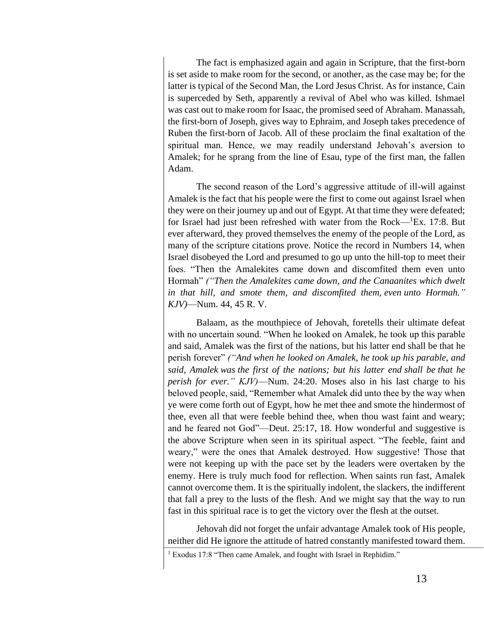The fact is emphasized again and again in Scripture, that the first-born is set aside to make room for the second, or another, as the case may be; for the latter is typical of the Second Man, the Lord Jesus Christ. As for instance, Cain is superceded by Seth, apparently a revival of Abel who was killed. Ishmael was cast out to make room for Isaac, the promised seed of Abraham. Manassah, the first-born of Joseph, gives way to Ephraim, and Joseph takes precedence of Ruben the first-born of Jacob. All of these proclaim the final exaltation of the spiritual man. Hence, we may readily understand Jehovah's aversion to Amalek; for he sprang from the line of Esau, type of the first man, the fallen Adam.

The second reason of the Lord's aggressive attitude of ill-will against Amalek is the fact that his people were the first to come out against Israel when they were on their journey up and out of Egypt. At that time they were defeated; for Israel had just been refreshed with water from the Rock— $^1$ Ex. 17:8. But ever afterward, they proved themselves the enemy of the people of the Lord, as many of the scripture citations prove. Notice the record in Numbers 14, when Israel disobeyed the Lord and presumed to go up unto the hill-top to meet their foes. "Then the Amalekites came down and discomfited them even unto Hormah" *("Then the Amalekites came down, and the Canaanites which dwelt in that hill, and smote them, and discomfited them, even unto Hormah." KJV)*—Num. 44, 45 R. V.

Balaam, as the mouthpiece of Jehovah, foretells their ultimate defeat with no uncertain sound. "When he looked on Amalek, he took up this parable and said, Amalek was the first of the nations, but his latter end shall be that he perish forever" *("And when he looked on Amalek, he took up his parable, and said, Amalek was the first of the nations; but his latter end shall be that he perish for ever." KJV)*—Num. 24:20. Moses also in his last charge to his beloved people, said, "Remember what Amalek did unto thee by the way when ye were come forth out of Egypt, how he met thee and smote the hindermost of thee, even all that were feeble behind thee, when thou wast faint and weary; and he feared not God"—Deut. 25:17, 18. How wonderful and suggestive is the above Scripture when seen in its spiritual aspect. "The feeble, faint and weary," were the ones that Amalek destroyed. How suggestive! Those that were not keeping up with the pace set by the leaders were overtaken by the enemy. Here is truly much food for reflection. When saints run fast, Amalek cannot overcome them. It is the spiritually indolent, the slackers, the indifferent that fall a prey to the lusts of the flesh. And we might say that the way to run fast in this spiritual race is to get the victory over the flesh at the outset.

Jehovah did not forget the unfair advantage Amalek took of His people, neither did He ignore the attitude of hatred constantly manifested toward them.

<sup>&</sup>lt;sup>1</sup> Exodus 17:8 "Then came Amalek, and fought with Israel in Rephidim."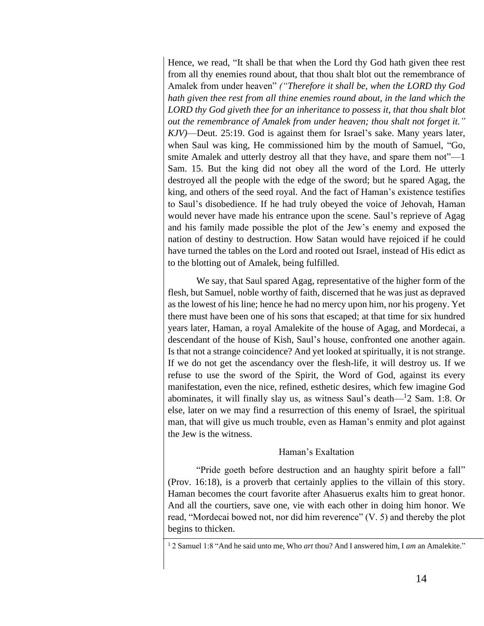Hence, we read, "It shall be that when the Lord thy God hath given thee rest from all thy enemies round about, that thou shalt blot out the remembrance of Amalek from under heaven" *("Therefore it shall be, when the LORD thy God hath given thee rest from all thine enemies round about, in the land which the LORD thy God giveth thee for an inheritance to possess it, that thou shalt blot out the remembrance of Amalek from under heaven; thou shalt not forget it." KJV)*—Deut. 25:19. God is against them for Israel's sake. Many years later, when Saul was king, He commissioned him by the mouth of Samuel, "Go, smite Amalek and utterly destroy all that they have, and spare them not"—1 Sam. 15. But the king did not obey all the word of the Lord. He utterly destroyed all the people with the edge of the sword; but he spared Agag, the king, and others of the seed royal. And the fact of Haman's existence testifies to Saul's disobedience. If he had truly obeyed the voice of Jehovah, Haman would never have made his entrance upon the scene. Saul's reprieve of Agag and his family made possible the plot of the Jew's enemy and exposed the nation of destiny to destruction. How Satan would have rejoiced if he could have turned the tables on the Lord and rooted out Israel, instead of His edict as to the blotting out of Amalek, being fulfilled.

We say, that Saul spared Agag, representative of the higher form of the flesh, but Samuel, noble worthy of faith, discerned that he was just as depraved as the lowest of his line; hence he had no mercy upon him, nor his progeny. Yet there must have been one of his sons that escaped; at that time for six hundred years later, Haman, a royal Amalekite of the house of Agag, and Mordecai, a descendant of the house of Kish, Saul's house, confronted one another again. Is that not a strange coincidence? And yet looked at spiritually, it is not strange. If we do not get the ascendancy over the flesh-life, it will destroy us. If we refuse to use the sword of the Spirit, the Word of God, against its every manifestation, even the nice, refined, esthetic desires, which few imagine God abominates, it will finally slay us, as witness Saul's death—<sup>1</sup> 2 Sam. 1:8. Or else, later on we may find a resurrection of this enemy of Israel, the spiritual man, that will give us much trouble, even as Haman's enmity and plot against the Jew is the witness.

## Haman's Exaltation

"Pride goeth before destruction and an haughty spirit before a fall" (Prov. 16:18), is a proverb that certainly applies to the villain of this story. Haman becomes the court favorite after Ahasuerus exalts him to great honor. And all the courtiers, save one, vie with each other in doing him honor. We read, "Mordecai bowed not, nor did him reverence" (V. 5) and thereby the plot begins to thicken.

<sup>1</sup> 2 Samuel 1:8 "And he said unto me, Who *art* thou? And I answered him, I *am* an Amalekite."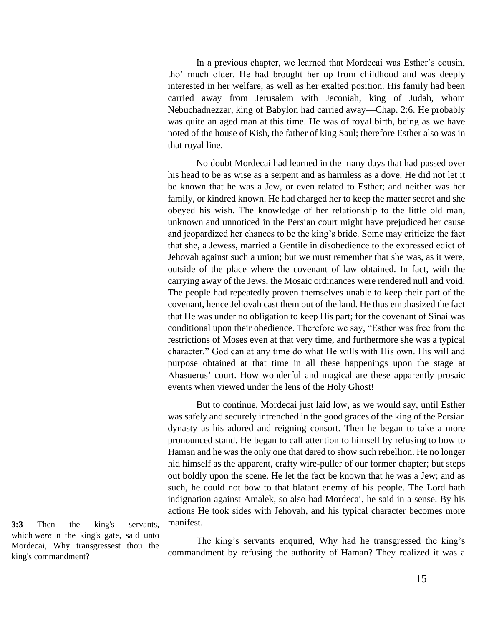In a previous chapter, we learned that Mordecai was Esther's cousin, tho' much older. He had brought her up from childhood and was deeply interested in her welfare, as well as her exalted position. His family had been carried away from Jerusalem with Jeconiah, king of Judah, whom Nebuchadnezzar, king of Babylon had carried away—Chap. 2:6. He probably was quite an aged man at this time. He was of royal birth, being as we have noted of the house of Kish, the father of king Saul; therefore Esther also was in that royal line.

No doubt Mordecai had learned in the many days that had passed over his head to be as wise as a serpent and as harmless as a dove. He did not let it be known that he was a Jew, or even related to Esther; and neither was her family, or kindred known. He had charged her to keep the matter secret and she obeyed his wish. The knowledge of her relationship to the little old man, unknown and unnoticed in the Persian court might have prejudiced her cause and jeopardized her chances to be the king's bride. Some may criticize the fact that she, a Jewess, married a Gentile in disobedience to the expressed edict of Jehovah against such a union; but we must remember that she was, as it were, outside of the place where the covenant of law obtained. In fact, with the carrying away of the Jews, the Mosaic ordinances were rendered null and void. The people had repeatedly proven themselves unable to keep their part of the covenant, hence Jehovah cast them out of the land. He thus emphasized the fact that He was under no obligation to keep His part; for the covenant of Sinai was conditional upon their obedience. Therefore we say, "Esther was free from the restrictions of Moses even at that very time, and furthermore she was a typical character." God can at any time do what He wills with His own. His will and purpose obtained at that time in all these happenings upon the stage at Ahasuerus' court. How wonderful and magical are these apparently prosaic events when viewed under the lens of the Holy Ghost!

But to continue, Mordecai just laid low, as we would say, until Esther was safely and securely intrenched in the good graces of the king of the Persian dynasty as his adored and reigning consort. Then he began to take a more pronounced stand. He began to call attention to himself by refusing to bow to Haman and he was the only one that dared to show such rebellion. He no longer hid himself as the apparent, crafty wire-puller of our former chapter; but steps out boldly upon the scene. He let the fact be known that he was a Jew; and as such, he could not bow to that blatant enemy of his people. The Lord hath indignation against Amalek, so also had Mordecai, he said in a sense. By his actions He took sides with Jehovah, and his typical character becomes more manifest.

The king's servants enquired, Why had he transgressed the king's commandment by refusing the authority of Haman? They realized it was a

**3:3** Then the king's servants, which *were* in the king's gate, said unto Mordecai, Why transgressest thou the king's commandment?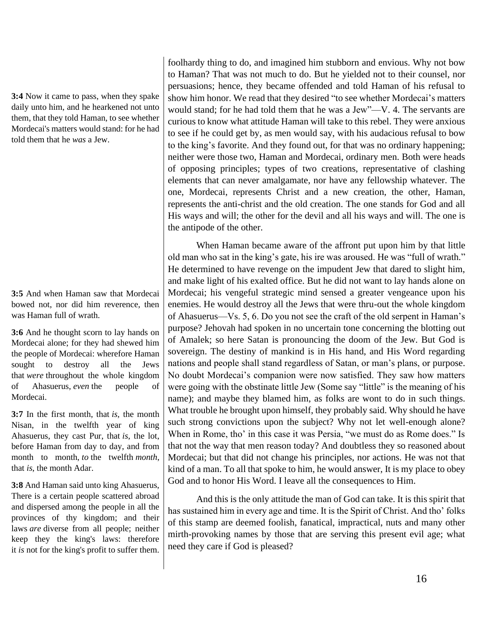**3:4** Now it came to pass, when they spake daily unto him, and he hearkened not unto them, that they told Haman, to see whether Mordecai's matters would stand: for he had told them that he *was* a Jew.

**3:5** And when Haman saw that Mordecai bowed not, nor did him reverence, then was Haman full of wrath.

**3:6** And he thought scorn to lay hands on Mordecai alone; for they had shewed him the people of Mordecai: wherefore Haman sought to destroy all the Jews that *were* throughout the whole kingdom of Ahasuerus, *even* the people of Mordecai.

**3:7** In the first month, that *is*, the month Nisan, in the twelfth year of king Ahasuerus, they cast Pur, that *is*, the lot, before Haman from day to day, and from month to month, *to* the twelfth *month*, that *is*, the month Adar.

**3:8** And Haman said unto king Ahasuerus, There is a certain people scattered abroad and dispersed among the people in all the provinces of thy kingdom; and their laws *are* diverse from all people; neither keep they the king's laws: therefore it *is* not for the king's profit to suffer them.

foolhardy thing to do, and imagined him stubborn and envious. Why not bow to Haman? That was not much to do. But he yielded not to their counsel, nor persuasions; hence, they became offended and told Haman of his refusal to show him honor. We read that they desired "to see whether Mordecai's matters would stand; for he had told them that he was a Jew"—V. 4. The servants are curious to know what attitude Haman will take to this rebel. They were anxious to see if he could get by, as men would say, with his audacious refusal to bow to the king's favorite. And they found out, for that was no ordinary happening; neither were those two, Haman and Mordecai, ordinary men. Both were heads of opposing principles; types of two creations, representative of clashing elements that can never amalgamate, nor have any fellowship whatever. The one, Mordecai, represents Christ and a new creation, the other, Haman, represents the anti-christ and the old creation. The one stands for God and all His ways and will; the other for the devil and all his ways and will. The one is the antipode of the other.

When Haman became aware of the affront put upon him by that little old man who sat in the king's gate, his ire was aroused. He was "full of wrath." He determined to have revenge on the impudent Jew that dared to slight him, and make light of his exalted office. But he did not want to lay hands alone on Mordecai; his vengeful strategic mind sensed a greater vengeance upon his enemies. He would destroy all the Jews that were thru-out the whole kingdom of Ahasuerus—Vs. 5, 6. Do you not see the craft of the old serpent in Haman's purpose? Jehovah had spoken in no uncertain tone concerning the blotting out of Amalek; so here Satan is pronouncing the doom of the Jew. But God is sovereign. The destiny of mankind is in His hand, and His Word regarding nations and people shall stand regardless of Satan, or man's plans, or purpose. No doubt Mordecai's companion were now satisfied. They saw how matters were going with the obstinate little Jew (Some say "little" is the meaning of his name); and maybe they blamed him, as folks are wont to do in such things. What trouble he brought upon himself, they probably said. Why should he have such strong convictions upon the subject? Why not let well-enough alone? When in Rome, tho' in this case it was Persia, "we must do as Rome does." Is that not the way that men reason today? And doubtless they so reasoned about Mordecai; but that did not change his principles, nor actions. He was not that kind of a man. To all that spoke to him, he would answer, It is my place to obey God and to honor His Word. I leave all the consequences to Him.

And this is the only attitude the man of God can take. It is this spirit that has sustained him in every age and time. It is the Spirit of Christ. And tho' folks of this stamp are deemed foolish, fanatical, impractical, nuts and many other mirth-provoking names by those that are serving this present evil age; what need they care if God is pleased?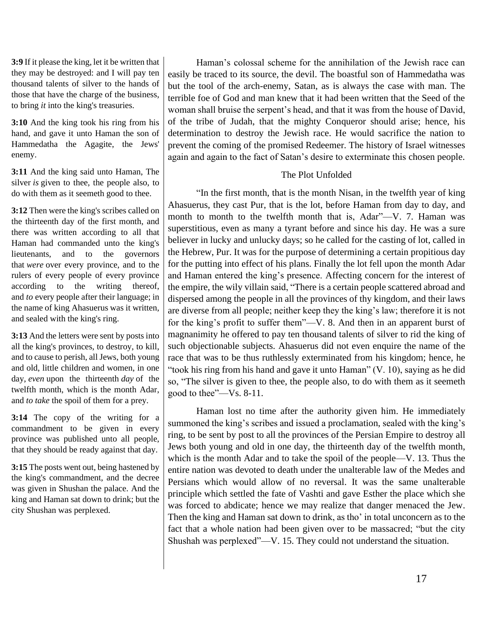**3:9** If it please the king, let it be written that they may be destroyed: and I will pay ten thousand talents of silver to the hands of those that have the charge of the business, to bring *it* into the king's treasuries.

**3:10** And the king took his ring from his hand, and gave it unto Haman the son of Hammedatha the Agagite, the Jews' enemy.

**3:11** And the king said unto Haman, The silver *is* given to thee, the people also, to do with them as it seemeth good to thee.

**3:12** Then were the king's scribes called on the thirteenth day of the first month, and there was written according to all that Haman had commanded unto the king's lieutenants, and to the governors that *were* over every province, and to the rulers of every people of every province according to the writing thereof, and *to* every people after their language; in the name of king Ahasuerus was it written, and sealed with the king's ring.

**3:13** And the letters were sent by posts into all the king's provinces, to destroy, to kill, and to cause to perish, all Jews, both young and old, little children and women, in one day, *even* upon the thirteenth *day* of the twelfth month, which is the month Adar, and *to take* the spoil of them for a prey.

**3:14** The copy of the writing for a commandment to be given in every province was published unto all people, that they should be ready against that day.

**3:15** The posts went out, being hastened by the king's commandment, and the decree was given in Shushan the palace. And the king and Haman sat down to drink; but the city Shushan was perplexed.

Haman's colossal scheme for the annihilation of the Jewish race can easily be traced to its source, the devil. The boastful son of Hammedatha was but the tool of the arch-enemy, Satan, as is always the case with man. The terrible foe of God and man knew that it had been written that the Seed of the woman shall bruise the serpent's head, and that it was from the house of David, of the tribe of Judah, that the mighty Conqueror should arise; hence, his determination to destroy the Jewish race. He would sacrifice the nation to prevent the coming of the promised Redeemer. The history of Israel witnesses again and again to the fact of Satan's desire to exterminate this chosen people.

# The Plot Unfolded

"In the first month, that is the month Nisan, in the twelfth year of king Ahasuerus, they cast Pur, that is the lot, before Haman from day to day, and month to month to the twelfth month that is, Adar"—V. 7. Haman was superstitious, even as many a tyrant before and since his day. He was a sure believer in lucky and unlucky days; so he called for the casting of lot, called in the Hebrew, Pur. It was for the purpose of determining a certain propitious day for the putting into effect of his plans. Finally the lot fell upon the month Adar and Haman entered the king's presence. Affecting concern for the interest of the empire, the wily villain said, "There is a certain people scattered abroad and dispersed among the people in all the provinces of thy kingdom, and their laws are diverse from all people; neither keep they the king's law; therefore it is not for the king's profit to suffer them"—V. 8. And then in an apparent burst of magnanimity he offered to pay ten thousand talents of silver to rid the king of such objectionable subjects. Ahasuerus did not even enquire the name of the race that was to be thus ruthlessly exterminated from his kingdom; hence, he "took his ring from his hand and gave it unto Haman" (V. 10), saying as he did so, "The silver is given to thee, the people also, to do with them as it seemeth good to thee"—Vs. 8-11.

Haman lost no time after the authority given him. He immediately summoned the king's scribes and issued a proclamation, sealed with the king's ring, to be sent by post to all the provinces of the Persian Empire to destroy all Jews both young and old in one day, the thirteenth day of the twelfth month, which is the month Adar and to take the spoil of the people—V. 13. Thus the entire nation was devoted to death under the unalterable law of the Medes and Persians which would allow of no reversal. It was the same unalterable principle which settled the fate of Vashti and gave Esther the place which she was forced to abdicate; hence we may realize that danger menaced the Jew. Then the king and Haman sat down to drink, as tho' in total unconcern as to the fact that a whole nation had been given over to be massacred; "but the city Shushah was perplexed"—V. 15. They could not understand the situation.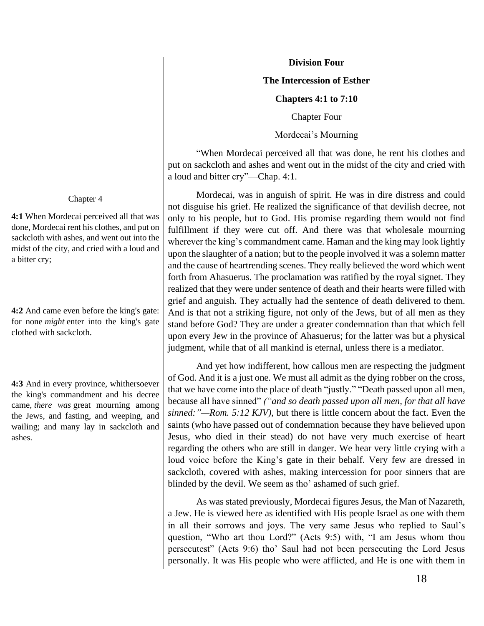#### **Division Four**

#### **The Intercession of Esther**

#### **Chapters 4:1 to 7:10**

Chapter Four

Mordecai's Mourning

"When Mordecai perceived all that was done, he rent his clothes and put on sackcloth and ashes and went out in the midst of the city and cried with a loud and bitter cry"—Chap. 4:1.

Mordecai, was in anguish of spirit. He was in dire distress and could not disguise his grief. He realized the significance of that devilish decree, not only to his people, but to God. His promise regarding them would not find fulfillment if they were cut off. And there was that wholesale mourning wherever the king's commandment came. Haman and the king may look lightly upon the slaughter of a nation; but to the people involved it was a solemn matter and the cause of heartrending scenes. They really believed the word which went forth from Ahasuerus. The proclamation was ratified by the royal signet. They realized that they were under sentence of death and their hearts were filled with grief and anguish. They actually had the sentence of death delivered to them. And is that not a striking figure, not only of the Jews, but of all men as they stand before God? They are under a greater condemnation than that which fell upon every Jew in the province of Ahasuerus; for the latter was but a physical judgment, while that of all mankind is eternal, unless there is a mediator.

And yet how indifferent, how callous men are respecting the judgment of God. And it is a just one. We must all admit as the dying robber on the cross, that we have come into the place of death "justly." "Death passed upon all men, because all have sinned" *("and so death passed upon all men, for that all have sinned:"—Rom. 5:12 KJV)*, but there is little concern about the fact. Even the saints (who have passed out of condemnation because they have believed upon Jesus, who died in their stead) do not have very much exercise of heart regarding the others who are still in danger. We hear very little crying with a loud voice before the King's gate in their behalf. Very few are dressed in sackcloth, covered with ashes, making intercession for poor sinners that are blinded by the devil. We seem as tho' ashamed of such grief.

As was stated previously, Mordecai figures Jesus, the Man of Nazareth, a Jew. He is viewed here as identified with His people Israel as one with them in all their sorrows and joys. The very same Jesus who replied to Saul's question, "Who art thou Lord?" (Acts 9:5) with, "I am Jesus whom thou persecutest" (Acts 9:6) tho' Saul had not been persecuting the Lord Jesus personally. It was His people who were afflicted, and He is one with them in

#### Chapter 4

**4:1** When Mordecai perceived all that was done, Mordecai rent his clothes, and put on sackcloth with ashes, and went out into the midst of the city, and cried with a loud and a bitter cry;

**4:2** And came even before the king's gate: for none *might* enter into the king's gate clothed with sackcloth.

**4:3** And in every province, whithersoever the king's commandment and his decree came, *there was* great mourning among the Jews, and fasting, and weeping, and wailing; and many lay in sackcloth and ashes.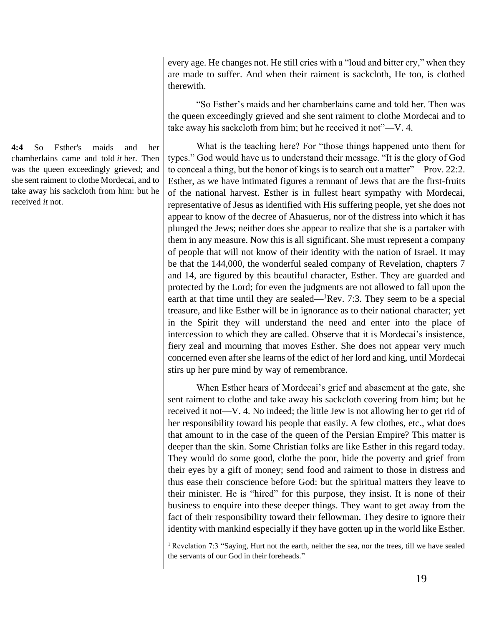**4:4** So Esther's maids and her chamberlains came and told *it* her. Then was the queen exceedingly grieved; and she sent raiment to clothe Mordecai, and to take away his sackcloth from him: but he received *it* not.

every age. He changes not. He still cries with a "loud and bitter cry," when they are made to suffer. And when their raiment is sackcloth, He too, is clothed therewith.

"So Esther's maids and her chamberlains came and told her. Then was the queen exceedingly grieved and she sent raiment to clothe Mordecai and to take away his sackcloth from him; but he received it not"—V. 4.

What is the teaching here? For "those things happened unto them for types." God would have us to understand their message. "It is the glory of God to conceal a thing, but the honor of kings is to search out a matter"—Prov. 22:2. Esther, as we have intimated figures a remnant of Jews that are the first-fruits of the national harvest. Esther is in fullest heart sympathy with Mordecai, representative of Jesus as identified with His suffering people, yet she does not appear to know of the decree of Ahasuerus, nor of the distress into which it has plunged the Jews; neither does she appear to realize that she is a partaker with them in any measure. Now this is all significant. She must represent a company of people that will not know of their identity with the nation of Israel. It may be that the 144,000, the wonderful sealed company of Revelation, chapters 7 and 14, are figured by this beautiful character, Esther. They are guarded and protected by the Lord; for even the judgments are not allowed to fall upon the earth at that time until they are sealed— ${}^{1}$ Rev. 7:3. They seem to be a special treasure, and like Esther will be in ignorance as to their national character; yet in the Spirit they will understand the need and enter into the place of intercession to which they are called. Observe that it is Mordecai's insistence, fiery zeal and mourning that moves Esther. She does not appear very much concerned even after she learns of the edict of her lord and king, until Mordecai stirs up her pure mind by way of remembrance.

When Esther hears of Mordecai's grief and abasement at the gate, she sent raiment to clothe and take away his sackcloth covering from him; but he received it not—V. 4. No indeed; the little Jew is not allowing her to get rid of her responsibility toward his people that easily. A few clothes, etc., what does that amount to in the case of the queen of the Persian Empire? This matter is deeper than the skin. Some Christian folks are like Esther in this regard today. They would do some good, clothe the poor, hide the poverty and grief from their eyes by a gift of money; send food and raiment to those in distress and thus ease their conscience before God: but the spiritual matters they leave to their minister. He is "hired" for this purpose, they insist. It is none of their business to enquire into these deeper things. They want to get away from the fact of their responsibility toward their fellowman. They desire to ignore their identity with mankind especially if they have gotten up in the world like Esther.

<sup>&</sup>lt;sup>1</sup> Revelation 7:3 "Saying, Hurt not the earth, neither the sea, nor the trees, till we have sealed the servants of our God in their foreheads."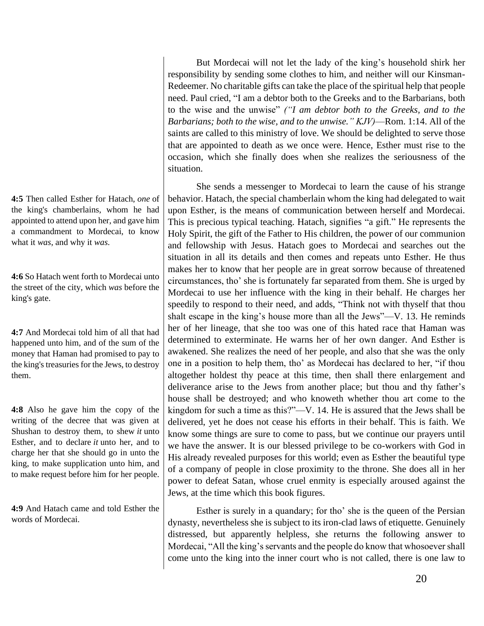**4:5** Then called Esther for Hatach, *one* of the king's chamberlains, whom he had appointed to attend upon her, and gave him a commandment to Mordecai, to know what it *was*, and why it *was*.

**4:6** So Hatach went forth to Mordecai unto the street of the city, which *was* before the king's gate.

**4:7** And Mordecai told him of all that had happened unto him, and of the sum of the money that Haman had promised to pay to the king's treasuries for the Jews, to destroy them.

**4:8** Also he gave him the copy of the writing of the decree that was given at Shushan to destroy them, to shew *it* unto Esther, and to declare *it* unto her, and to charge her that she should go in unto the king, to make supplication unto him, and to make request before him for her people.

**4:9** And Hatach came and told Esther the words of Mordecai.

But Mordecai will not let the lady of the king's household shirk her responsibility by sending some clothes to him, and neither will our Kinsman-Redeemer. No charitable gifts can take the place of the spiritual help that people need. Paul cried, "I am a debtor both to the Greeks and to the Barbarians, both to the wise and the unwise" *("I am debtor both to the Greeks, and to the Barbarians; both to the wise, and to the unwise." KJV)*—Rom. 1:14. All of the saints are called to this ministry of love. We should be delighted to serve those that are appointed to death as we once were. Hence, Esther must rise to the occasion, which she finally does when she realizes the seriousness of the situation.

She sends a messenger to Mordecai to learn the cause of his strange behavior. Hatach, the special chamberlain whom the king had delegated to wait upon Esther, is the means of communication between herself and Mordecai. This is precious typical teaching. Hatach, signifies "a gift." He represents the Holy Spirit, the gift of the Father to His children, the power of our communion and fellowship with Jesus. Hatach goes to Mordecai and searches out the situation in all its details and then comes and repeats unto Esther. He thus makes her to know that her people are in great sorrow because of threatened circumstances, tho' she is fortunately far separated from them. She is urged by Mordecai to use her influence with the king in their behalf. He charges her speedily to respond to their need, and adds, "Think not with thyself that thou shalt escape in the king's house more than all the Jews"—V. 13. He reminds her of her lineage, that she too was one of this hated race that Haman was determined to exterminate. He warns her of her own danger. And Esther is awakened. She realizes the need of her people, and also that she was the only one in a position to help them, tho' as Mordecai has declared to her, "if thou altogether holdest thy peace at this time, then shall there enlargement and deliverance arise to the Jews from another place; but thou and thy father's house shall be destroyed; and who knoweth whether thou art come to the kingdom for such a time as this?"—V. 14. He is assured that the Jews shall be delivered, yet he does not cease his efforts in their behalf. This is faith. We know some things are sure to come to pass, but we continue our prayers until we have the answer. It is our blessed privilege to be co-workers with God in His already revealed purposes for this world; even as Esther the beautiful type of a company of people in close proximity to the throne. She does all in her power to defeat Satan, whose cruel enmity is especially aroused against the Jews, at the time which this book figures.

Esther is surely in a quandary; for tho' she is the queen of the Persian dynasty, nevertheless she is subject to its iron-clad laws of etiquette. Genuinely distressed, but apparently helpless, she returns the following answer to Mordecai, "All the king's servants and the people do know that whosoever shall come unto the king into the inner court who is not called, there is one law to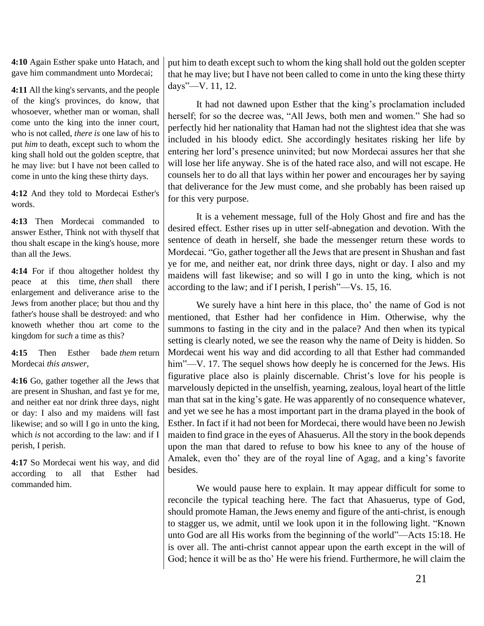**4:10** Again Esther spake unto Hatach, and gave him commandment unto Mordecai;

**4:11** All the king's servants, and the people of the king's provinces, do know, that whosoever, whether man or woman, shall come unto the king into the inner court, who is not called, *there is* one law of his to put *him* to death, except such to whom the king shall hold out the golden sceptre, that he may live: but I have not been called to come in unto the king these thirty days.

**4:12** And they told to Mordecai Esther's words.

**4:13** Then Mordecai commanded to answer Esther, Think not with thyself that thou shalt escape in the king's house, more than all the Jews.

**4:14** For if thou altogether holdest thy peace at this time, *then* shall there enlargement and deliverance arise to the Jews from another place; but thou and thy father's house shall be destroyed: and who knoweth whether thou art come to the kingdom for *such* a time as this?

**4:15** Then Esther bade *them* return Mordecai *this answer*,

**4:16** Go, gather together all the Jews that are present in Shushan, and fast ye for me, and neither eat nor drink three days, night or day: I also and my maidens will fast likewise; and so will I go in unto the king, which *is* not according to the law: and if I perish, I perish.

**4:17** So Mordecai went his way, and did according to all that Esther had commanded him.

put him to death except such to whom the king shall hold out the golden scepter that he may live; but I have not been called to come in unto the king these thirty days"—V. 11, 12.

It had not dawned upon Esther that the king's proclamation included herself; for so the decree was, "All Jews, both men and women." She had so perfectly hid her nationality that Haman had not the slightest idea that she was included in his bloody edict. She accordingly hesitates risking her life by entering her lord's presence uninvited; but now Mordecai assures her that she will lose her life anyway. She is of the hated race also, and will not escape. He counsels her to do all that lays within her power and encourages her by saying that deliverance for the Jew must come, and she probably has been raised up for this very purpose.

It is a vehement message, full of the Holy Ghost and fire and has the desired effect. Esther rises up in utter self-abnegation and devotion. With the sentence of death in herself, she bade the messenger return these words to Mordecai. "Go, gather together all the Jews that are present in Shushan and fast ye for me, and neither eat, nor drink three days, night or day. I also and my maidens will fast likewise; and so will I go in unto the king, which is not according to the law; and if I perish, I perish"—Vs. 15, 16.

We surely have a hint here in this place, tho' the name of God is not mentioned, that Esther had her confidence in Him. Otherwise, why the summons to fasting in the city and in the palace? And then when its typical setting is clearly noted, we see the reason why the name of Deity is hidden. So Mordecai went his way and did according to all that Esther had commanded him"—V. 17. The sequel shows how deeply he is concerned for the Jews. His figurative place also is plainly discernable. Christ's love for his people is marvelously depicted in the unselfish, yearning, zealous, loyal heart of the little man that sat in the king's gate. He was apparently of no consequence whatever, and yet we see he has a most important part in the drama played in the book of Esther. In fact if it had not been for Mordecai, there would have been no Jewish maiden to find grace in the eyes of Ahasuerus. All the story in the book depends upon the man that dared to refuse to bow his knee to any of the house of Amalek, even tho' they are of the royal line of Agag, and a king's favorite besides.

We would pause here to explain. It may appear difficult for some to reconcile the typical teaching here. The fact that Ahasuerus, type of God, should promote Haman, the Jews enemy and figure of the anti-christ, is enough to stagger us, we admit, until we look upon it in the following light. "Known unto God are all His works from the beginning of the world"—Acts 15:18. He is over all. The anti-christ cannot appear upon the earth except in the will of God; hence it will be as tho' He were his friend. Furthermore, he will claim the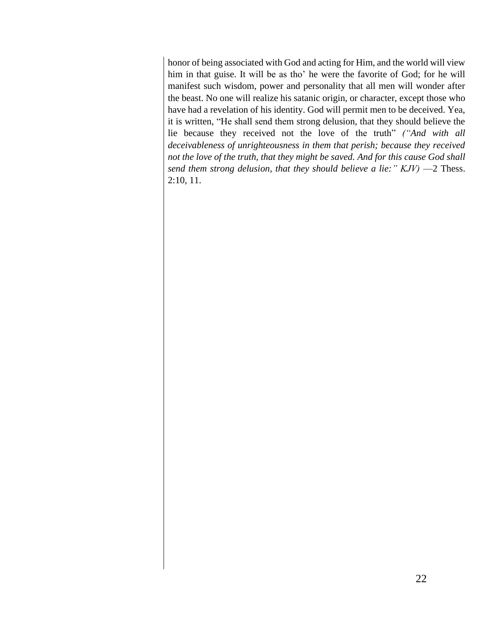honor of being associated with God and acting for Him, and the world will view him in that guise. It will be as tho' he were the favorite of God; for he will manifest such wisdom, power and personality that all men will wonder after the beast. No one will realize his satanic origin, or character, except those who have had a revelation of his identity. God will permit men to be deceived. Yea, it is written, "He shall send them strong delusion, that they should believe the lie because they received not the love of the truth" *("And with all deceivableness of unrighteousness in them that perish; because they received not the love of the truth, that they might be saved. And for this cause God shall send them strong delusion, that they should believe a lie:" KJV)* —2 Thess. 2:10, 11.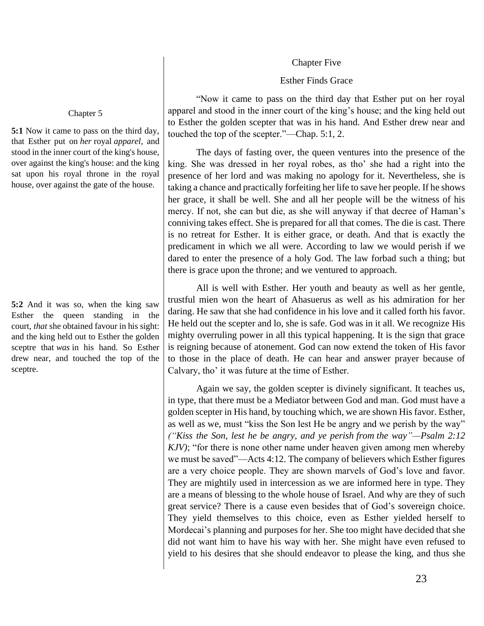#### Chapter Five

### Esther Finds Grace

"Now it came to pass on the third day that Esther put on her royal apparel and stood in the inner court of the king's house; and the king held out to Esther the golden scepter that was in his hand. And Esther drew near and touched the top of the scepter."—Chap. 5:1, 2.

The days of fasting over, the queen ventures into the presence of the king. She was dressed in her royal robes, as tho' she had a right into the presence of her lord and was making no apology for it. Nevertheless, she is taking a chance and practically forfeiting her life to save her people. If he shows her grace, it shall be well. She and all her people will be the witness of his mercy. If not, she can but die, as she will anyway if that decree of Haman's conniving takes effect. She is prepared for all that comes. The die is cast. There is no retreat for Esther. It is either grace, or death. And that is exactly the predicament in which we all were. According to law we would perish if we dared to enter the presence of a holy God. The law forbad such a thing; but there is grace upon the throne; and we ventured to approach.

All is well with Esther. Her youth and beauty as well as her gentle, trustful mien won the heart of Ahasuerus as well as his admiration for her daring. He saw that she had confidence in his love and it called forth his favor. He held out the scepter and lo, she is safe. God was in it all. We recognize His mighty overruling power in all this typical happening. It is the sign that grace is reigning because of atonement. God can now extend the token of His favor to those in the place of death. He can hear and answer prayer because of Calvary, tho' it was future at the time of Esther.

Again we say, the golden scepter is divinely significant. It teaches us, in type, that there must be a Mediator between God and man. God must have a golden scepter in His hand, by touching which, we are shown His favor. Esther, as well as we, must "kiss the Son lest He be angry and we perish by the way" *("Kiss the Son, lest he be angry, and ye perish from the way"—Psalm 2:12 KJV)*; "for there is none other name under heaven given among men whereby we must be saved"—Acts 4:12. The company of believers which Esther figures are a very choice people. They are shown marvels of God's love and favor. They are mightily used in intercession as we are informed here in type. They are a means of blessing to the whole house of Israel. And why are they of such great service? There is a cause even besides that of God's sovereign choice. They yield themselves to this choice, even as Esther yielded herself to Mordecai's planning and purposes for her. She too might have decided that she did not want him to have his way with her. She might have even refused to yield to his desires that she should endeavor to please the king, and thus she

#### Chapter 5

**5:1** Now it came to pass on the third day, that Esther put on *her* royal *apparel*, and stood in the inner court of the king's house, over against the king's house: and the king sat upon his royal throne in the royal house, over against the gate of the house.

**5:2** And it was so, when the king saw Esther the queen standing in the court, *that* she obtained favour in his sight: and the king held out to Esther the golden sceptre that *was* in his hand. So Esther drew near, and touched the top of the sceptre.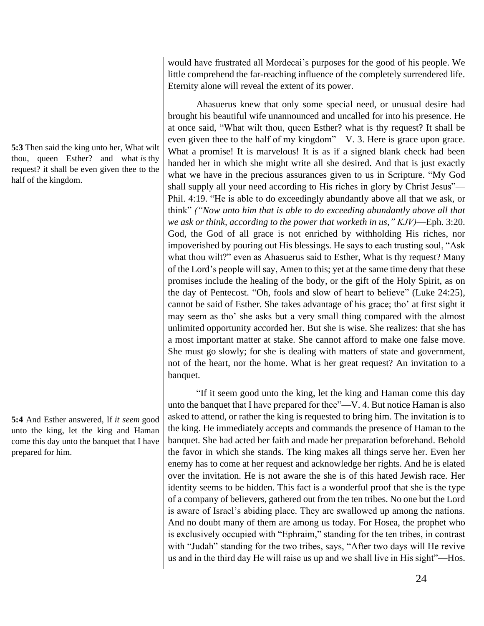**5:3** Then said the king unto her, What wilt thou, queen Esther? and what *is* thy request? it shall be even given thee to the half of the kingdom.

**5:4** And Esther answered, If *it seem* good unto the king, let the king and Haman come this day unto the banquet that I have prepared for him.

would have frustrated all Mordecai's purposes for the good of his people. We little comprehend the far-reaching influence of the completely surrendered life. Eternity alone will reveal the extent of its power.

Ahasuerus knew that only some special need, or unusual desire had brought his beautiful wife unannounced and uncalled for into his presence. He at once said, "What wilt thou, queen Esther? what is thy request? It shall be even given thee to the half of my kingdom"—V. 3. Here is grace upon grace. What a promise! It is marvelous! It is as if a signed blank check had been handed her in which she might write all she desired. And that is just exactly what we have in the precious assurances given to us in Scripture. "My God shall supply all your need according to His riches in glory by Christ Jesus"— Phil. 4:19. "He is able to do exceedingly abundantly above all that we ask, or think" *("Now unto him that is able to do exceeding abundantly above all that we ask or think, according to the power that worketh in us," KJV)*—Eph. 3:20. God, the God of all grace is not enriched by withholding His riches, nor impoverished by pouring out His blessings. He says to each trusting soul, "Ask what thou wilt?" even as Ahasuerus said to Esther, What is thy request? Many of the Lord's people will say, Amen to this; yet at the same time deny that these promises include the healing of the body, or the gift of the Holy Spirit, as on the day of Pentecost. "Oh, fools and slow of heart to believe" (Luke 24:25), cannot be said of Esther. She takes advantage of his grace; tho' at first sight it may seem as tho' she asks but a very small thing compared with the almost unlimited opportunity accorded her. But she is wise. She realizes: that she has a most important matter at stake. She cannot afford to make one false move. She must go slowly; for she is dealing with matters of state and government, not of the heart, nor the home. What is her great request? An invitation to a banquet.

"If it seem good unto the king, let the king and Haman come this day unto the banquet that I have prepared for thee"—V. 4. But notice Haman is also asked to attend, or rather the king is requested to bring him. The invitation is to the king. He immediately accepts and commands the presence of Haman to the banquet. She had acted her faith and made her preparation beforehand. Behold the favor in which she stands. The king makes all things serve her. Even her enemy has to come at her request and acknowledge her rights. And he is elated over the invitation. He is not aware the she is of this hated Jewish race. Her identity seems to be hidden. This fact is a wonderful proof that she is the type of a company of believers, gathered out from the ten tribes. No one but the Lord is aware of Israel's abiding place. They are swallowed up among the nations. And no doubt many of them are among us today. For Hosea, the prophet who is exclusively occupied with "Ephraim," standing for the ten tribes, in contrast with "Judah" standing for the two tribes, says, "After two days will He revive us and in the third day He will raise us up and we shall live in His sight"—Hos.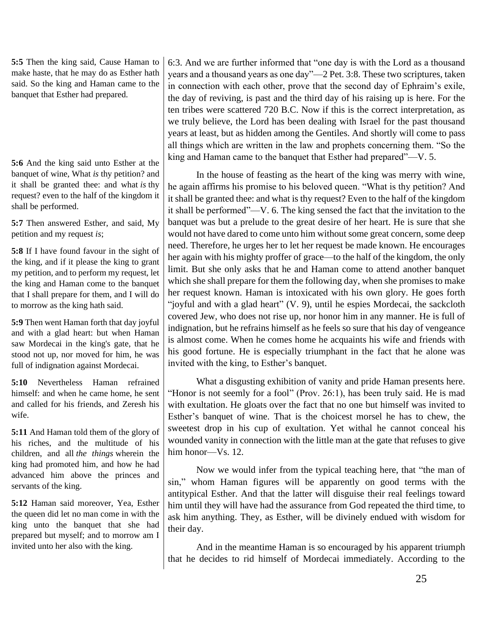**5:5** Then the king said, Cause Haman to make haste, that he may do as Esther hath said. So the king and Haman came to the banquet that Esther had prepared.

**5:6** And the king said unto Esther at the banquet of wine, What *is* thy petition? and it shall be granted thee: and what *is* thy request? even to the half of the kingdom it shall be performed.

**5:7** Then answered Esther, and said, My petition and my request *is*;

**5:8** If I have found favour in the sight of the king, and if it please the king to grant my petition, and to perform my request, let the king and Haman come to the banquet that I shall prepare for them, and I will do to morrow as the king hath said.

**5:9** Then went Haman forth that day joyful and with a glad heart: but when Haman saw Mordecai in the king's gate, that he stood not up, nor moved for him, he was full of indignation against Mordecai.

**5:10** Nevertheless Haman refrained himself: and when he came home, he sent and called for his friends, and Zeresh his wife.

**5:11** And Haman told them of the glory of his riches, and the multitude of his children, and all *the things* wherein the king had promoted him, and how he had advanced him above the princes and servants of the king.

**5:12** Haman said moreover, Yea, Esther the queen did let no man come in with the king unto the banquet that she had prepared but myself; and to morrow am I invited unto her also with the king.

6:3. And we are further informed that "one day is with the Lord as a thousand years and a thousand years as one day"—2 Pet. 3:8. These two scriptures, taken in connection with each other, prove that the second day of Ephraim's exile, the day of reviving, is past and the third day of his raising up is here. For the ten tribes were scattered 720 B.C. Now if this is the correct interpretation, as we truly believe, the Lord has been dealing with Israel for the past thousand years at least, but as hidden among the Gentiles. And shortly will come to pass all things which are written in the law and prophets concerning them. "So the king and Haman came to the banquet that Esther had prepared"—V. 5.

In the house of feasting as the heart of the king was merry with wine, he again affirms his promise to his beloved queen. "What is thy petition? And it shall be granted thee: and what is thy request? Even to the half of the kingdom it shall be performed"—V. 6. The king sensed the fact that the invitation to the banquet was but a prelude to the great desire of her heart. He is sure that she would not have dared to come unto him without some great concern, some deep need. Therefore, he urges her to let her request be made known. He encourages her again with his mighty proffer of grace—to the half of the kingdom, the only limit. But she only asks that he and Haman come to attend another banquet which she shall prepare for them the following day, when she promises to make her request known. Haman is intoxicated with his own glory. He goes forth "joyful and with a glad heart" (V. 9), until he espies Mordecai, the sackcloth covered Jew, who does not rise up, nor honor him in any manner. He is full of indignation, but he refrains himself as he feels so sure that his day of vengeance is almost come. When he comes home he acquaints his wife and friends with his good fortune. He is especially triumphant in the fact that he alone was invited with the king, to Esther's banquet.

What a disgusting exhibition of vanity and pride Haman presents here. "Honor is not seemly for a fool" (Prov. 26:1), has been truly said. He is mad with exultation. He gloats over the fact that no one but himself was invited to Esther's banquet of wine. That is the choicest morsel he has to chew, the sweetest drop in his cup of exultation. Yet withal he cannot conceal his wounded vanity in connection with the little man at the gate that refuses to give him honor—Vs. 12.

Now we would infer from the typical teaching here, that "the man of sin," whom Haman figures will be apparently on good terms with the antitypical Esther. And that the latter will disguise their real feelings toward him until they will have had the assurance from God repeated the third time, to ask him anything. They, as Esther, will be divinely endued with wisdom for their day.

And in the meantime Haman is so encouraged by his apparent triumph that he decides to rid himself of Mordecai immediately. According to the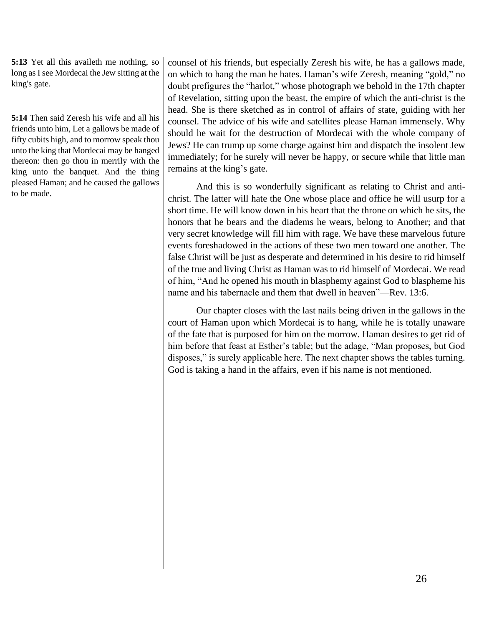**5:13** Yet all this availeth me nothing, so long as I see Mordecai the Jew sitting at the king's gate.

**5:14** Then said Zeresh his wife and all his friends unto him, Let a gallows be made of fifty cubits high, and to morrow speak thou unto the king that Mordecai may be hanged thereon: then go thou in merrily with the king unto the banquet. And the thing pleased Haman; and he caused the gallows to be made.

counsel of his friends, but especially Zeresh his wife, he has a gallows made, on which to hang the man he hates. Haman's wife Zeresh, meaning "gold," no doubt prefigures the "harlot," whose photograph we behold in the 17th chapter of Revelation, sitting upon the beast, the empire of which the anti-christ is the head. She is there sketched as in control of affairs of state, guiding with her counsel. The advice of his wife and satellites please Haman immensely. Why should he wait for the destruction of Mordecai with the whole company of Jews? He can trump up some charge against him and dispatch the insolent Jew immediately; for he surely will never be happy, or secure while that little man remains at the king's gate.

And this is so wonderfully significant as relating to Christ and antichrist. The latter will hate the One whose place and office he will usurp for a short time. He will know down in his heart that the throne on which he sits, the honors that he bears and the diadems he wears, belong to Another; and that very secret knowledge will fill him with rage. We have these marvelous future events foreshadowed in the actions of these two men toward one another. The false Christ will be just as desperate and determined in his desire to rid himself of the true and living Christ as Haman was to rid himself of Mordecai. We read of him, "And he opened his mouth in blasphemy against God to blaspheme his name and his tabernacle and them that dwell in heaven"—Rev. 13:6.

Our chapter closes with the last nails being driven in the gallows in the court of Haman upon which Mordecai is to hang, while he is totally unaware of the fate that is purposed for him on the morrow. Haman desires to get rid of him before that feast at Esther's table; but the adage, "Man proposes, but God disposes," is surely applicable here. The next chapter shows the tables turning. God is taking a hand in the affairs, even if his name is not mentioned.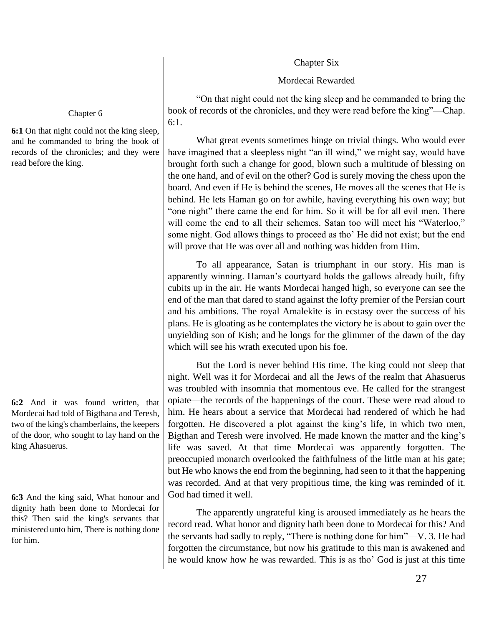## Chapter Six

# Mordecai Rewarded

"On that night could not the king sleep and he commanded to bring the book of records of the chronicles, and they were read before the king"—Chap. 6:1.

What great events sometimes hinge on trivial things. Who would ever have imagined that a sleepless night "an ill wind," we might say, would have brought forth such a change for good, blown such a multitude of blessing on the one hand, and of evil on the other? God is surely moving the chess upon the board. And even if He is behind the scenes, He moves all the scenes that He is behind. He lets Haman go on for awhile, having everything his own way; but "one night" there came the end for him. So it will be for all evil men. There will come the end to all their schemes. Satan too will meet his "Waterloo," some night. God allows things to proceed as tho' He did not exist; but the end will prove that He was over all and nothing was hidden from Him.

To all appearance, Satan is triumphant in our story. His man is apparently winning. Haman's courtyard holds the gallows already built, fifty cubits up in the air. He wants Mordecai hanged high, so everyone can see the end of the man that dared to stand against the lofty premier of the Persian court and his ambitions. The royal Amalekite is in ecstasy over the success of his plans. He is gloating as he contemplates the victory he is about to gain over the unyielding son of Kish; and he longs for the glimmer of the dawn of the day which will see his wrath executed upon his foe.

But the Lord is never behind His time. The king could not sleep that night. Well was it for Mordecai and all the Jews of the realm that Ahasuerus was troubled with insomnia that momentous eve. He called for the strangest opiate—the records of the happenings of the court. These were read aloud to him. He hears about a service that Mordecai had rendered of which he had forgotten. He discovered a plot against the king's life, in which two men, Bigthan and Teresh were involved. He made known the matter and the king's life was saved. At that time Mordecai was apparently forgotten. The preoccupied monarch overlooked the faithfulness of the little man at his gate; but He who knows the end from the beginning, had seen to it that the happening was recorded. And at that very propitious time, the king was reminded of it. God had timed it well.

The apparently ungrateful king is aroused immediately as he hears the record read. What honor and dignity hath been done to Mordecai for this? And the servants had sadly to reply, "There is nothing done for him"—V. 3. He had forgotten the circumstance, but now his gratitude to this man is awakened and he would know how he was rewarded. This is as tho' God is just at this time

## Chapter 6

**6:1** On that night could not the king sleep, and he commanded to bring the book of records of the chronicles; and they were read before the king.

**6:2** And it was found written, that Mordecai had told of Bigthana and Teresh, two of the king's chamberlains, the keepers of the door, who sought to lay hand on the king Ahasuerus.

**6:3** And the king said, What honour and dignity hath been done to Mordecai for this? Then said the king's servants that ministered unto him, There is nothing done for him.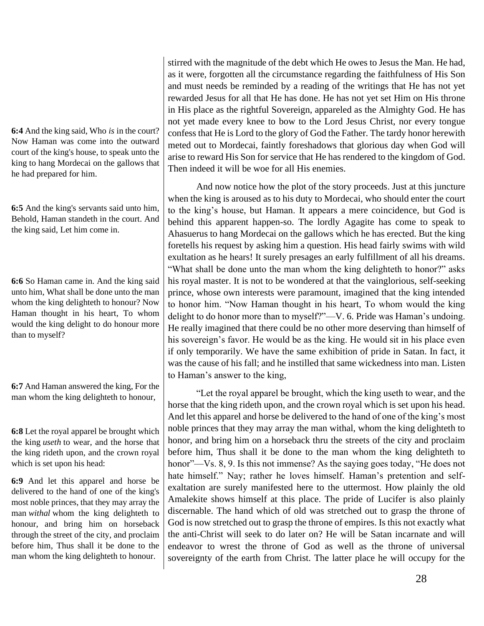**6:4** And the king said, Who *is* in the court? Now Haman was come into the outward court of the king's house, to speak unto the king to hang Mordecai on the gallows that he had prepared for him.

**6:5** And the king's servants said unto him, Behold, Haman standeth in the court. And the king said, Let him come in.

**6:6** So Haman came in. And the king said unto him, What shall be done unto the man whom the king delighteth to honour? Now Haman thought in his heart, To whom would the king delight to do honour more than to myself?

**6:7** And Haman answered the king, For the man whom the king delighteth to honour,

**6:8** Let the royal apparel be brought which the king *useth* to wear, and the horse that the king rideth upon, and the crown royal which is set upon his head:

**6:9** And let this apparel and horse be delivered to the hand of one of the king's most noble princes, that they may array the man *withal* whom the king delighteth to honour, and bring him on horseback through the street of the city, and proclaim before him, Thus shall it be done to the man whom the king delighteth to honour.

stirred with the magnitude of the debt which He owes to Jesus the Man. He had, as it were, forgotten all the circumstance regarding the faithfulness of His Son and must needs be reminded by a reading of the writings that He has not yet rewarded Jesus for all that He has done. He has not yet set Him on His throne in His place as the rightful Sovereign, appareled as the Almighty God. He has not yet made every knee to bow to the Lord Jesus Christ, nor every tongue confess that He is Lord to the glory of God the Father. The tardy honor herewith meted out to Mordecai, faintly foreshadows that glorious day when God will arise to reward His Son for service that He has rendered to the kingdom of God. Then indeed it will be woe for all His enemies.

And now notice how the plot of the story proceeds. Just at this juncture when the king is aroused as to his duty to Mordecai, who should enter the court to the king's house, but Haman. It appears a mere coincidence, but God is behind this apparent happen-so. The lordly Agagite has come to speak to Ahasuerus to hang Mordecai on the gallows which he has erected. But the king foretells his request by asking him a question. His head fairly swims with wild exultation as he hears! It surely presages an early fulfillment of all his dreams. "What shall be done unto the man whom the king delighteth to honor?" asks his royal master. It is not to be wondered at that the vainglorious, self-seeking prince, whose own interests were paramount, imagined that the king intended to honor him. "Now Haman thought in his heart, To whom would the king delight to do honor more than to myself?"—V. 6. Pride was Haman's undoing. He really imagined that there could be no other more deserving than himself of his sovereign's favor. He would be as the king. He would sit in his place even if only temporarily. We have the same exhibition of pride in Satan. In fact, it was the cause of his fall; and he instilled that same wickedness into man. Listen to Haman's answer to the king,

"Let the royal apparel be brought, which the king useth to wear, and the horse that the king rideth upon, and the crown royal which is set upon his head. And let this apparel and horse be delivered to the hand of one of the king's most noble princes that they may array the man withal, whom the king delighteth to honor, and bring him on a horseback thru the streets of the city and proclaim before him, Thus shall it be done to the man whom the king delighteth to honor"—Vs. 8, 9. Is this not immense? As the saying goes today, "He does not hate himself." Nay; rather he loves himself. Haman's pretention and selfexaltation are surely manifested here to the uttermost. How plainly the old Amalekite shows himself at this place. The pride of Lucifer is also plainly discernable. The hand which of old was stretched out to grasp the throne of God is now stretched out to grasp the throne of empires. Is this not exactly what the anti-Christ will seek to do later on? He will be Satan incarnate and will endeavor to wrest the throne of God as well as the throne of universal sovereignty of the earth from Christ. The latter place he will occupy for the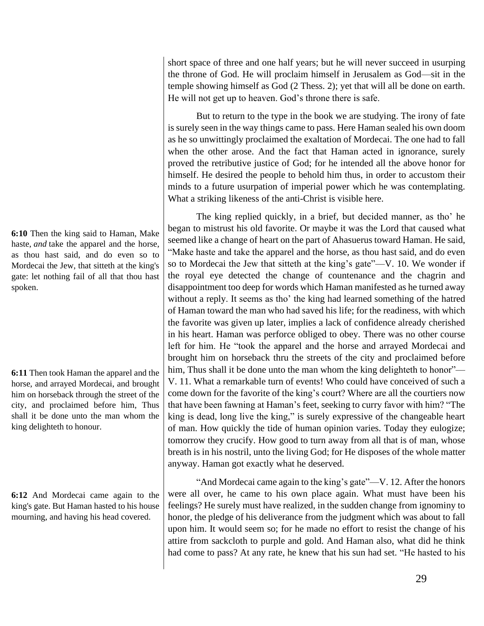**6:10** Then the king said to Haman, Make haste, *and* take the apparel and the horse, as thou hast said, and do even so to Mordecai the Jew, that sitteth at the king's gate: let nothing fail of all that thou hast spoken.

**6:11** Then took Haman the apparel and the horse, and arrayed Mordecai, and brought him on horseback through the street of the city, and proclaimed before him, Thus shall it be done unto the man whom the king delighteth to honour.

**6:12** And Mordecai came again to the king's gate. But Haman hasted to his house mourning, and having his head covered.

short space of three and one half years; but he will never succeed in usurping the throne of God. He will proclaim himself in Jerusalem as God—sit in the temple showing himself as God (2 Thess. 2); yet that will all be done on earth. He will not get up to heaven. God's throne there is safe.

But to return to the type in the book we are studying. The irony of fate is surely seen in the way things came to pass. Here Haman sealed his own doom as he so unwittingly proclaimed the exaltation of Mordecai. The one had to fall when the other arose. And the fact that Haman acted in ignorance, surely proved the retributive justice of God; for he intended all the above honor for himself. He desired the people to behold him thus, in order to accustom their minds to a future usurpation of imperial power which he was contemplating. What a striking likeness of the anti-Christ is visible here.

The king replied quickly, in a brief, but decided manner, as tho' he began to mistrust his old favorite. Or maybe it was the Lord that caused what seemed like a change of heart on the part of Ahasuerus toward Haman. He said, "Make haste and take the apparel and the horse, as thou hast said, and do even so to Mordecai the Jew that sitteth at the king's gate"—V. 10. We wonder if the royal eye detected the change of countenance and the chagrin and disappointment too deep for words which Haman manifested as he turned away without a reply. It seems as tho' the king had learned something of the hatred of Haman toward the man who had saved his life; for the readiness, with which the favorite was given up later, implies a lack of confidence already cherished in his heart. Haman was perforce obliged to obey. There was no other course left for him. He "took the apparel and the horse and arrayed Mordecai and brought him on horseback thru the streets of the city and proclaimed before him, Thus shall it be done unto the man whom the king delighteth to honor"— V. 11. What a remarkable turn of events! Who could have conceived of such a come down for the favorite of the king's court? Where are all the courtiers now that have been fawning at Haman's feet, seeking to curry favor with him? "The king is dead, long live the king," is surely expressive of the changeable heart of man. How quickly the tide of human opinion varies. Today they eulogize; tomorrow they crucify. How good to turn away from all that is of man, whose breath is in his nostril, unto the living God; for He disposes of the whole matter anyway. Haman got exactly what he deserved.

"And Mordecai came again to the king's gate"—V. 12. After the honors were all over, he came to his own place again. What must have been his feelings? He surely must have realized, in the sudden change from ignominy to honor, the pledge of his deliverance from the judgment which was about to fall upon him. It would seem so; for he made no effort to resist the change of his attire from sackcloth to purple and gold. And Haman also, what did he think had come to pass? At any rate, he knew that his sun had set. "He hasted to his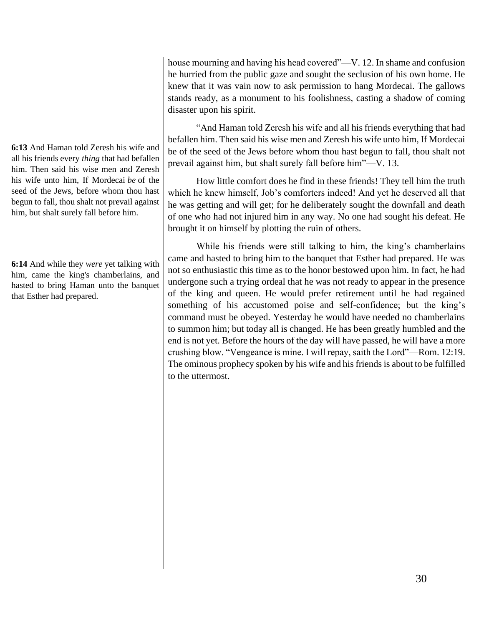**6:13** And Haman told Zeresh his wife and all his friends every *thing* that had befallen him. Then said his wise men and Zeresh his wife unto him, If Mordecai *be* of the seed of the Jews, before whom thou hast begun to fall, thou shalt not prevail against him, but shalt surely fall before him.

**6:14** And while they *were* yet talking with him, came the king's chamberlains, and hasted to bring Haman unto the banquet that Esther had prepared.

house mourning and having his head covered"—V. 12. In shame and confusion he hurried from the public gaze and sought the seclusion of his own home. He knew that it was vain now to ask permission to hang Mordecai. The gallows stands ready, as a monument to his foolishness, casting a shadow of coming disaster upon his spirit.

"And Haman told Zeresh his wife and all his friends everything that had befallen him. Then said his wise men and Zeresh his wife unto him, If Mordecai be of the seed of the Jews before whom thou hast begun to fall, thou shalt not prevail against him, but shalt surely fall before him"—V. 13.

How little comfort does he find in these friends! They tell him the truth which he knew himself, Job's comforters indeed! And yet he deserved all that he was getting and will get; for he deliberately sought the downfall and death of one who had not injured him in any way. No one had sought his defeat. He brought it on himself by plotting the ruin of others.

While his friends were still talking to him, the king's chamberlains came and hasted to bring him to the banquet that Esther had prepared. He was not so enthusiastic this time as to the honor bestowed upon him. In fact, he had undergone such a trying ordeal that he was not ready to appear in the presence of the king and queen. He would prefer retirement until he had regained something of his accustomed poise and self-confidence; but the king's command must be obeyed. Yesterday he would have needed no chamberlains to summon him; but today all is changed. He has been greatly humbled and the end is not yet. Before the hours of the day will have passed, he will have a more crushing blow. "Vengeance is mine. I will repay, saith the Lord"—Rom. 12:19. The ominous prophecy spoken by his wife and his friends is about to be fulfilled to the uttermost.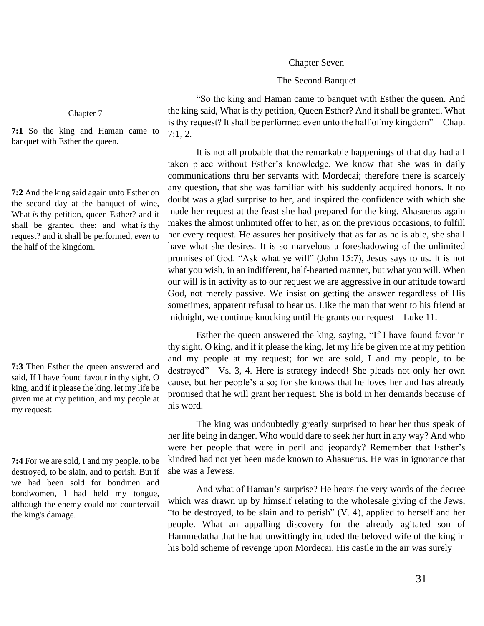Chapter Seven

The Second Banquet

"So the king and Haman came to banquet with Esther the queen. And the king said, What is thy petition, Queen Esther? And it shall be granted. What is thy request? It shall be performed even unto the half of my kingdom"—Chap. 7:1, 2.

It is not all probable that the remarkable happenings of that day had all taken place without Esther's knowledge. We know that she was in daily communications thru her servants with Mordecai; therefore there is scarcely any question, that she was familiar with his suddenly acquired honors. It no doubt was a glad surprise to her, and inspired the confidence with which she made her request at the feast she had prepared for the king. Ahasuerus again makes the almost unlimited offer to her, as on the previous occasions, to fulfill her every request. He assures her positively that as far as he is able, she shall have what she desires. It is so marvelous a foreshadowing of the unlimited promises of God. "Ask what ye will" (John 15:7), Jesus says to us. It is not what you wish, in an indifferent, half-hearted manner, but what you will. When our will is in activity as to our request we are aggressive in our attitude toward God, not merely passive. We insist on getting the answer regardless of His sometimes, apparent refusal to hear us. Like the man that went to his friend at midnight, we continue knocking until He grants our request—Luke 11.

Esther the queen answered the king, saying, "If I have found favor in thy sight, O king, and if it please the king, let my life be given me at my petition and my people at my request; for we are sold, I and my people, to be destroyed"—Vs. 3, 4. Here is strategy indeed! She pleads not only her own cause, but her people's also; for she knows that he loves her and has already promised that he will grant her request. She is bold in her demands because of his word.

The king was undoubtedly greatly surprised to hear her thus speak of her life being in danger. Who would dare to seek her hurt in any way? And who were her people that were in peril and jeopardy? Remember that Esther's kindred had not yet been made known to Ahasuerus. He was in ignorance that she was a Jewess.

And what of Haman's surprise? He hears the very words of the decree which was drawn up by himself relating to the wholesale giving of the Jews, "to be destroyed, to be slain and to perish" (V. 4), applied to herself and her people. What an appalling discovery for the already agitated son of Hammedatha that he had unwittingly included the beloved wife of the king in his bold scheme of revenge upon Mordecai. His castle in the air was surely

Chapter 7

**7:1** So the king and Haman came to banquet with Esther the queen.

**7:2** And the king said again unto Esther on the second day at the banquet of wine, What *is* thy petition, queen Esther? and it shall be granted thee: and what *is* thy request? and it shall be performed, *even* to the half of the kingdom.

**7:3** Then Esther the queen answered and said, If I have found favour in thy sight, O king, and if it please the king, let my life be given me at my petition, and my people at my request:

**7:4** For we are sold, I and my people, to be destroyed, to be slain, and to perish. But if we had been sold for bondmen and bondwomen, I had held my tongue, although the enemy could not countervail the king's damage.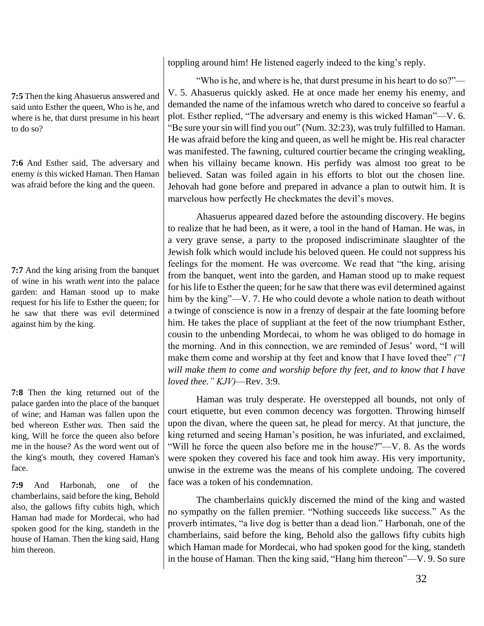**7:5** Then the king Ahasuerus answered and said unto Esther the queen, Who is he, and where is he, that durst presume in his heart to do so?

**7:6** And Esther said, The adversary and enemy *is* this wicked Haman. Then Haman was afraid before the king and the queen.

**7:7** And the king arising from the banquet of wine in his wrath *went* into the palace garden: and Haman stood up to make request for his life to Esther the queen; for he saw that there was evil determined against him by the king.

**7:8** Then the king returned out of the palace garden into the place of the banquet of wine; and Haman was fallen upon the bed whereon Esther *was*. Then said the king, Will he force the queen also before me in the house? As the word went out of the king's mouth, they covered Haman's face.

**7:9** And Harbonah, one of the chamberlains, said before the king, Behold also, the gallows fifty cubits high, which Haman had made for Mordecai, who had spoken good for the king, standeth in the house of Haman. Then the king said, Hang him thereon.

toppling around him! He listened eagerly indeed to the king's reply.

"Who is he, and where is he, that durst presume in his heart to do so?"— V. 5. Ahasuerus quickly asked. He at once made her enemy his enemy, and demanded the name of the infamous wretch who dared to conceive so fearful a plot. Esther replied, "The adversary and enemy is this wicked Haman"—V. 6. "Be sure your sin will find you out" (Num. 32:23), was truly fulfilled to Haman. He was afraid before the king and queen, as well he might be. His real character was manifested. The fawning, cultured courtier became the cringing weakling, when his villainy became known. His perfidy was almost too great to be believed. Satan was foiled again in his efforts to blot out the chosen line. Jehovah had gone before and prepared in advance a plan to outwit him. It is marvelous how perfectly He checkmates the devil's moves.

Ahasuerus appeared dazed before the astounding discovery. He begins to realize that he had been, as it were, a tool in the hand of Haman. He was, in a very grave sense, a party to the proposed indiscriminate slaughter of the Jewish folk which would include his beloved queen. He could not suppress his feelings for the moment. He was overcome. We read that "the king, arising from the banquet, went into the garden, and Haman stood up to make request for his life to Esther the queen; for he saw that there was evil determined against him by the king"—V. 7. He who could devote a whole nation to death without a twinge of conscience is now in a frenzy of despair at the fate looming before him. He takes the place of suppliant at the feet of the now triumphant Esther, cousin to the unbending Mordecai, to whom he was obliged to do homage in the morning. And in this connection, we are reminded of Jesus' word, "I will make them come and worship at thy feet and know that I have loved thee" *("I will make them to come and worship before thy feet, and to know that I have loved thee." KJV)*—Rev. 3:9.

Haman was truly desperate. He overstepped all bounds, not only of court etiquette, but even common decency was forgotten. Throwing himself upon the divan, where the queen sat, he plead for mercy. At that juncture, the king returned and seeing Haman's position, he was infuriated, and exclaimed, "Will he force the queen also before me in the house?"—V. 8. As the words were spoken they covered his face and took him away. His very importunity, unwise in the extreme was the means of his complete undoing. The covered face was a token of his condemnation.

The chamberlains quickly discerned the mind of the king and wasted no sympathy on the fallen premier. "Nothing succeeds like success." As the proverb intimates, "a live dog is better than a dead lion." Harbonah, one of the chamberlains, said before the king, Behold also the gallows fifty cubits high which Haman made for Mordecai, who had spoken good for the king, standeth in the house of Haman. Then the king said, "Hang him thereon"—V. 9. So sure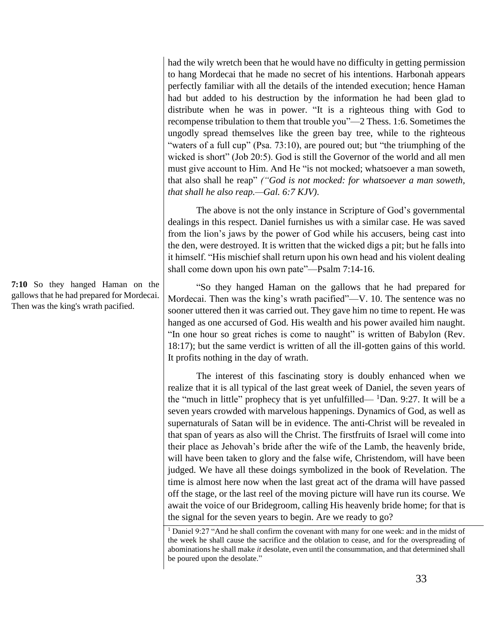had the wily wretch been that he would have no difficulty in getting permission to hang Mordecai that he made no secret of his intentions. Harbonah appears perfectly familiar with all the details of the intended execution; hence Haman had but added to his destruction by the information he had been glad to distribute when he was in power. "It is a righteous thing with God to recompense tribulation to them that trouble you"—2 Thess. 1:6. Sometimes the ungodly spread themselves like the green bay tree, while to the righteous "waters of a full cup" (Psa. 73:10), are poured out; but "the triumphing of the wicked is short" (Job 20:5). God is still the Governor of the world and all men must give account to Him. And He "is not mocked; whatsoever a man soweth, that also shall he reap" *("God is not mocked: for whatsoever a man soweth, that shall he also reap.—Gal. 6:7 KJV)*.

The above is not the only instance in Scripture of God's governmental dealings in this respect. Daniel furnishes us with a similar case. He was saved from the lion's jaws by the power of God while his accusers, being cast into the den, were destroyed. It is written that the wicked digs a pit; but he falls into it himself. "His mischief shall return upon his own head and his violent dealing shall come down upon his own pate"—Psalm 7:14-16.

"So they hanged Haman on the gallows that he had prepared for Mordecai. Then was the king's wrath pacified"—V. 10. The sentence was no sooner uttered then it was carried out. They gave him no time to repent. He was hanged as one accursed of God. His wealth and his power availed him naught. "In one hour so great riches is come to naught" is written of Babylon (Rev. 18:17); but the same verdict is written of all the ill-gotten gains of this world. It profits nothing in the day of wrath.

The interest of this fascinating story is doubly enhanced when we realize that it is all typical of the last great week of Daniel, the seven years of the "much in little" prophecy that is yet unfulfilled—  ${}^{1}$ Dan. 9:27. It will be a seven years crowded with marvelous happenings. Dynamics of God, as well as supernaturals of Satan will be in evidence. The anti-Christ will be revealed in that span of years as also will the Christ. The firstfruits of Israel will come into their place as Jehovah's bride after the wife of the Lamb, the heavenly bride, will have been taken to glory and the false wife, Christendom, will have been judged. We have all these doings symbolized in the book of Revelation. The time is almost here now when the last great act of the drama will have passed off the stage, or the last reel of the moving picture will have run its course. We await the voice of our Bridegroom, calling His heavenly bride home; for that is the signal for the seven years to begin. Are we ready to go?

**7:10** So they hanged Haman on the gallows that he had prepared for Mordecai. Then was the king's wrath pacified.

<sup>&</sup>lt;sup>1</sup> Daniel 9:27 "And he shall confirm the covenant with many for one week: and in the midst of the week he shall cause the sacrifice and the oblation to cease, and for the overspreading of abominations he shall make *it* desolate, even until the consummation, and that determined shall be poured upon the desolate."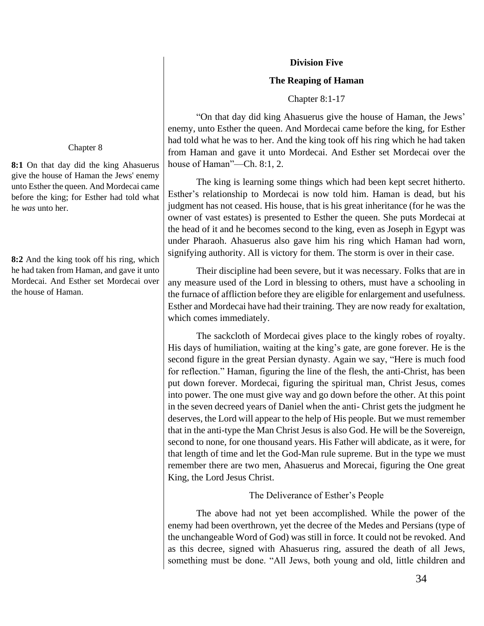#### **Division Five**

### **The Reaping of Haman**

Chapter 8:1-17

"On that day did king Ahasuerus give the house of Haman, the Jews' enemy, unto Esther the queen. And Mordecai came before the king, for Esther had told what he was to her. And the king took off his ring which he had taken from Haman and gave it unto Mordecai. And Esther set Mordecai over the house of Haman"—Ch. 8:1, 2.

The king is learning some things which had been kept secret hitherto. Esther's relationship to Mordecai is now told him. Haman is dead, but his judgment has not ceased. His house, that is his great inheritance (for he was the owner of vast estates) is presented to Esther the queen. She puts Mordecai at the head of it and he becomes second to the king, even as Joseph in Egypt was under Pharaoh. Ahasuerus also gave him his ring which Haman had worn, signifying authority. All is victory for them. The storm is over in their case.

Their discipline had been severe, but it was necessary. Folks that are in any measure used of the Lord in blessing to others, must have a schooling in the furnace of affliction before they are eligible for enlargement and usefulness. Esther and Mordecai have had their training. They are now ready for exaltation, which comes immediately.

The sackcloth of Mordecai gives place to the kingly robes of royalty. His days of humiliation, waiting at the king's gate, are gone forever. He is the second figure in the great Persian dynasty. Again we say, "Here is much food for reflection." Haman, figuring the line of the flesh, the anti-Christ, has been put down forever. Mordecai, figuring the spiritual man, Christ Jesus, comes into power. The one must give way and go down before the other. At this point in the seven decreed years of Daniel when the anti- Christ gets the judgment he deserves, the Lord will appear to the help of His people. But we must remember that in the anti-type the Man Christ Jesus is also God. He will be the Sovereign, second to none, for one thousand years. His Father will abdicate, as it were, for that length of time and let the God-Man rule supreme. But in the type we must remember there are two men, Ahasuerus and Morecai, figuring the One great King, the Lord Jesus Christ.

# The Deliverance of Esther's People

The above had not yet been accomplished. While the power of the enemy had been overthrown, yet the decree of the Medes and Persians (type of the unchangeable Word of God) was still in force. It could not be revoked. And as this decree, signed with Ahasuerus ring, assured the death of all Jews, something must be done. "All Jews, both young and old, little children and

## Chapter 8

**8:1** On that day did the king Ahasuerus give the house of Haman the Jews' enemy unto Esther the queen. And Mordecai came before the king; for Esther had told what he *was* unto her.

**8:2** And the king took off his ring, which he had taken from Haman, and gave it unto Mordecai. And Esther set Mordecai over the house of Haman.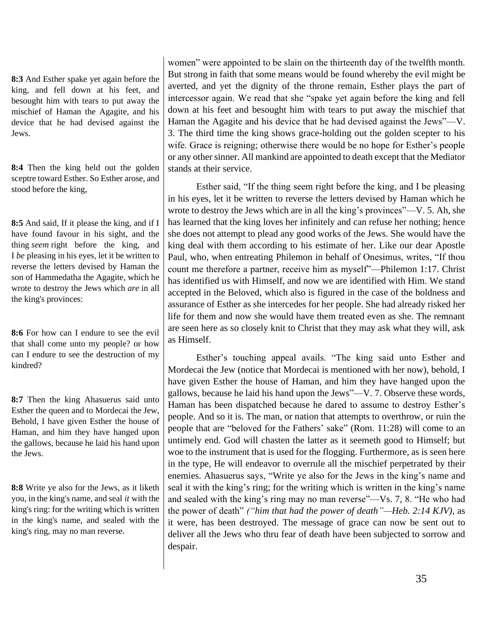**8:3** And Esther spake yet again before the king, and fell down at his feet, and besought him with tears to put away the mischief of Haman the Agagite, and his device that he had devised against the Jews.

**8:4** Then the king held out the golden sceptre toward Esther. So Esther arose, and stood before the king,

**8:5** And said, If it please the king, and if I have found favour in his sight, and the thing *seem* right before the king, and I *be* pleasing in his eyes, let it be written to reverse the letters devised by Haman the son of Hammedatha the Agagite, which he wrote to destroy the Jews which *are* in all the king's provinces:

**8:6** For how can I endure to see the evil that shall come unto my people? or how can I endure to see the destruction of my kindred?

**8:7** Then the king Ahasuerus said unto Esther the queen and to Mordecai the Jew, Behold, I have given Esther the house of Haman, and him they have hanged upon the gallows, because he laid his hand upon the Jews.

**8:8** Write ye also for the Jews, as it liketh you, in the king's name, and seal *it* with the king's ring: for the writing which is written in the king's name, and sealed with the king's ring, may no man reverse.

women" were appointed to be slain on the thirteenth day of the twelfth month. But strong in faith that some means would be found whereby the evil might be averted, and yet the dignity of the throne remain, Esther plays the part of intercessor again. We read that she "spake yet again before the king and fell down at his feet and besought him with tears to put away the mischief that Haman the Agagite and his device that he had devised against the Jews"—V. 3. The third time the king shows grace-holding out the golden scepter to his wife. Grace is reigning; otherwise there would be no hope for Esther's people or any other sinner. All mankind are appointed to death except that the Mediator stands at their service.

Esther said, "If the thing seem right before the king, and I be pleasing in his eyes, let it be written to reverse the letters devised by Haman which he wrote to destroy the Jews which are in all the king's provinces"—V. 5. Ah, she has learned that the king loves her infinitely and can refuse her nothing; hence she does not attempt to plead any good works of the Jews. She would have the king deal with them according to his estimate of her. Like our dear Apostle Paul, who, when entreating Philemon in behalf of Onesimus, writes, "If thou count me therefore a partner, receive him as myself"—Philemon 1:17. Christ has identified us with Himself, and now we are identified with Him. We stand accepted in the Beloved, which also is figured in the case of the boldness and assurance of Esther as she intercedes for her people. She had already risked her life for them and now she would have them treated even as she. The remnant are seen here as so closely knit to Christ that they may ask what they will, ask as Himself.

Esther's touching appeal avails. "The king said unto Esther and Mordecai the Jew (notice that Mordecai is mentioned with her now), behold, I have given Esther the house of Haman, and him they have hanged upon the gallows, because he laid his hand upon the Jews"—V. 7. Observe these words, Haman has been dispatched because he dared to assume to destroy Esther's people. And so it is. The man, or nation that attempts to overthrow, or ruin the people that are "beloved for the Fathers' sake" (Rom. 11:28) will come to an untimely end. God will chasten the latter as it seemeth good to Himself; but woe to the instrument that is used for the flogging. Furthermore, as is seen here in the type, He will endeavor to overrule all the mischief perpetrated by their enemies. Ahasuerus says, "Write ye also for the Jews in the king's name and seal it with the king's ring; for the writing which is written in the king's name and sealed with the king's ring may no man reverse"—Vs. 7, 8. "He who had the power of death" *("him that had the power of death"—Heb. 2:14 KJV)*, as it were, has been destroyed. The message of grace can now be sent out to deliver all the Jews who thru fear of death have been subjected to sorrow and despair.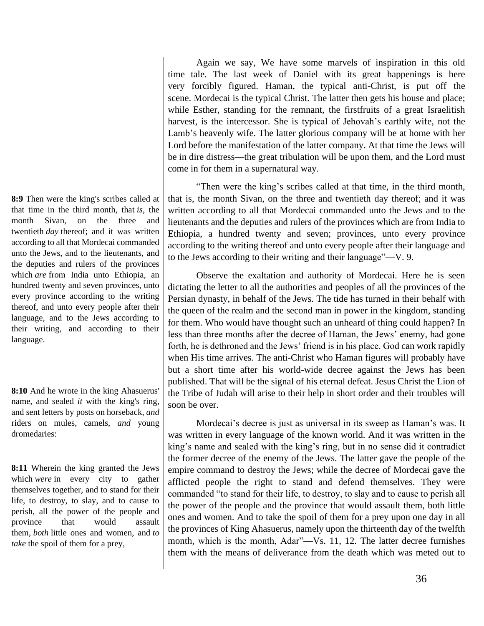**8:9** Then were the king's scribes called at that time in the third month, that *is*, the month Sivan, on the three and twentieth *day* thereof; and it was written according to all that Mordecai commanded unto the Jews, and to the lieutenants, and the deputies and rulers of the provinces which *are* from India unto Ethiopia, an hundred twenty and seven provinces, unto every province according to the writing thereof, and unto every people after their language, and to the Jews according to their writing, and according to their language.

**8:10** And he wrote in the king Ahasuerus' name, and sealed *it* with the king's ring, and sent letters by posts on horseback, *and* riders on mules, camels, *and* young dromedaries:

**8:11** Wherein the king granted the Jews which *were* in every city to gather themselves together, and to stand for their life, to destroy, to slay, and to cause to perish, all the power of the people and province that would assault them, *both* little ones and women, and *to take* the spoil of them for a prey,

Again we say, We have some marvels of inspiration in this old time tale. The last week of Daniel with its great happenings is here very forcibly figured. Haman, the typical anti-Christ, is put off the scene. Mordecai is the typical Christ. The latter then gets his house and place; while Esther, standing for the remnant, the firstfruits of a great Israelitish harvest, is the intercessor. She is typical of Jehovah's earthly wife, not the Lamb's heavenly wife. The latter glorious company will be at home with her Lord before the manifestation of the latter company. At that time the Jews will be in dire distress—the great tribulation will be upon them, and the Lord must come in for them in a supernatural way.

"Then were the king's scribes called at that time, in the third month, that is, the month Sivan, on the three and twentieth day thereof; and it was written according to all that Mordecai commanded unto the Jews and to the lieutenants and the deputies and rulers of the provinces which are from India to Ethiopia, a hundred twenty and seven; provinces, unto every province according to the writing thereof and unto every people after their language and to the Jews according to their writing and their language"—V. 9.

Observe the exaltation and authority of Mordecai. Here he is seen dictating the letter to all the authorities and peoples of all the provinces of the Persian dynasty, in behalf of the Jews. The tide has turned in their behalf with the queen of the realm and the second man in power in the kingdom, standing for them. Who would have thought such an unheard of thing could happen? In less than three months after the decree of Haman, the Jews' enemy, had gone forth, he is dethroned and the Jews' friend is in his place. God can work rapidly when His time arrives. The anti-Christ who Haman figures will probably have but a short time after his world-wide decree against the Jews has been published. That will be the signal of his eternal defeat. Jesus Christ the Lion of the Tribe of Judah will arise to their help in short order and their troubles will soon be over.

Mordecai's decree is just as universal in its sweep as Haman's was. It was written in every language of the known world. And it was written in the king's name and sealed with the king's ring, but in no sense did it contradict the former decree of the enemy of the Jews. The latter gave the people of the empire command to destroy the Jews; while the decree of Mordecai gave the afflicted people the right to stand and defend themselves. They were commanded "to stand for their life, to destroy, to slay and to cause to perish all the power of the people and the province that would assault them, both little ones and women. And to take the spoil of them for a prey upon one day in all the provinces of King Ahasuerus, namely upon the thirteenth day of the twelfth month, which is the month, Adar"—Vs. 11, 12. The latter decree furnishes them with the means of deliverance from the death which was meted out to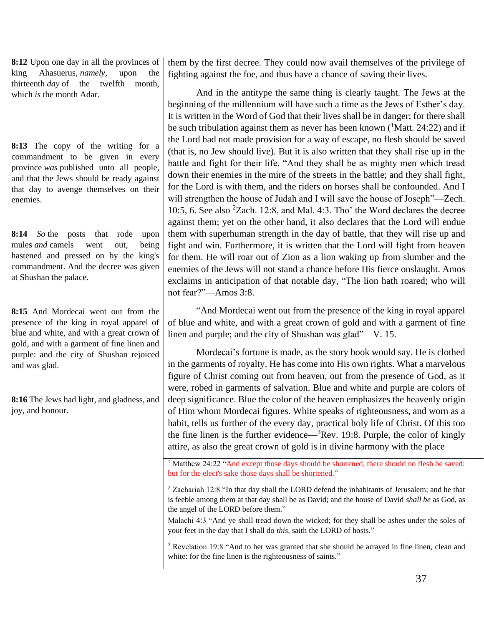**8:12** Upon one day in all the provinces of king Ahasuerus, *namely*, upon the thirteenth *day* of the twelfth month, which *is* the month Adar.

**8:13** The copy of the writing for a commandment to be given in every province *was* published unto all people, and that the Jews should be ready against that day to avenge themselves on their enemies.

**8:14** *So* the posts that rode upon mules *and* camels went out, being hastened and pressed on by the king's commandment. And the decree was given at Shushan the palace.

**8:15** And Mordecai went out from the presence of the king in royal apparel of blue and white, and with a great crown of gold, and with a garment of fine linen and purple: and the city of Shushan rejoiced and was glad.

**8:16** The Jews had light, and gladness, and joy, and honour.

them by the first decree. They could now avail themselves of the privilege of fighting against the foe, and thus have a chance of saving their lives.

And in the antitype the same thing is clearly taught. The Jews at the beginning of the millennium will have such a time as the Jews of Esther's day. It is written in the Word of God that their lives shall be in danger; for there shall be such tribulation against them as never has been known  $(1$ Matt. 24:22) and if the Lord had not made provision for a way of escape, no flesh should be saved (that is, no Jew should live). But it is also written that they shall rise up in the battle and fight for their life. "And they shall be as mighty men which tread down their enemies in the mire of the streets in the battle; and they shall fight, for the Lord is with them, and the riders on horses shall be confounded. And I will strengthen the house of Judah and I will save the house of Joseph"—Zech. 10:5, 6. See also  ${}^{2}Z$ ach. 12:8, and Mal. 4:3. Tho' the Word declares the decree against them; yet on the other hand, it also declares that the Lord will endue them with superhuman strength in the day of battle, that they will rise up and fight and win. Furthermore, it is written that the Lord will fight from heaven for them. He will roar out of Zion as a lion waking up from slumber and the enemies of the Jews will not stand a chance before His fierce onslaught. Amos exclaims in anticipation of that notable day, "The lion hath roared; who will not fear?"—Amos 3:8.

"And Mordecai went out from the presence of the king in royal apparel of blue and white, and with a great crown of gold and with a garment of fine linen and purple; and the city of Shushan was glad"—V. 15.

Mordecai's fortune is made, as the story book would say. He is clothed in the garments of royalty. He has come into His own rights. What a marvelous figure of Christ coming out from heaven, out from the presence of God, as it were, robed in garments of salvation. Blue and white and purple are colors of deep significance. Blue the color of the heaven emphasizes the heavenly origin of Him whom Mordecai figures. White speaks of righteousness, and worn as a habit, tells us further of the every day, practical holy life of Christ. Of this too the fine linen is the further evidence— ${}^{3}$ Rev. 19:8. Purple, the color of kingly attire, as also the great crown of gold is in divine harmony with the place

Malachi 4:3 "And ye shall tread down the wicked; for they shall be ashes under the soles of your feet in the day that I shall do *this*, saith the LORD of hosts."

<sup>3</sup> Revelation 19:8 "And to her was granted that she should be arrayed in fine linen, clean and white: for the fine linen is the righteousness of saints."

<sup>&</sup>lt;sup>1</sup> Matthew 24:22 "And except those days should be shortened, there should no flesh be saved: but for the elect's sake those days shall be shortened."

<sup>&</sup>lt;sup>2</sup> Zachariah 12:8 "In that day shall the LORD defend the inhabitants of Jerusalem; and he that is feeble among them at that day shall be as David; and the house of David *shall be* as God, as the angel of the LORD before them."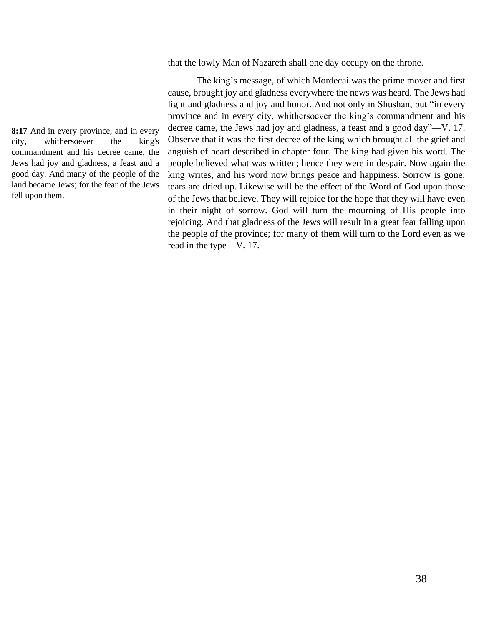**8:17** And in every province, and in every city, whithersoever the king's commandment and his decree came, the Jews had joy and gladness, a feast and a good day. And many of the people of the land became Jews; for the fear of the Jews fell upon them.

that the lowly Man of Nazareth shall one day occupy on the throne.

The king's message, of which Mordecai was the prime mover and first cause, brought joy and gladness everywhere the news was heard. The Jews had light and gladness and joy and honor. And not only in Shushan, but "in every province and in every city, whithersoever the king's commandment and his decree came, the Jews had joy and gladness, a feast and a good day"—V. 17. Observe that it was the first decree of the king which brought all the grief and anguish of heart described in chapter four. The king had given his word. The people believed what was written; hence they were in despair. Now again the king writes, and his word now brings peace and happiness. Sorrow is gone; tears are dried up. Likewise will be the effect of the Word of God upon those of the Jews that believe. They will rejoice for the hope that they will have even in their night of sorrow. God will turn the mourning of His people into rejoicing. And that gladness of the Jews will result in a great fear falling upon the people of the province; for many of them will turn to the Lord even as we read in the type—V. 17.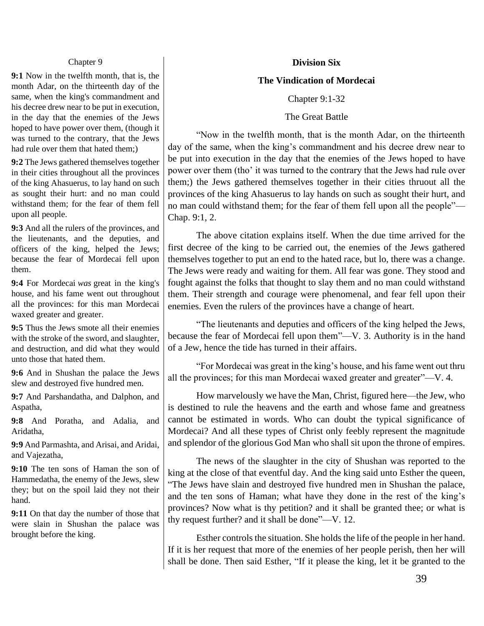#### Chapter 9

**9:1** Now in the twelfth month, that is, the month Adar, on the thirteenth day of the same, when the king's commandment and his decree drew near to be put in execution, in the day that the enemies of the Jews hoped to have power over them, (though it was turned to the contrary, that the Jews had rule over them that hated them;)

**9:2** The Jews gathered themselves together in their cities throughout all the provinces of the king Ahasuerus, to lay hand on such as sought their hurt: and no man could withstand them; for the fear of them fell upon all people.

**9:3** And all the rulers of the provinces, and the lieutenants, and the deputies, and officers of the king, helped the Jews; because the fear of Mordecai fell upon them.

**9:4** For Mordecai *was* great in the king's house, and his fame went out throughout all the provinces: for this man Mordecai waxed greater and greater.

**9:5** Thus the Jews smote all their enemies with the stroke of the sword, and slaughter, and destruction, and did what they would unto those that hated them.

**9:6** And in Shushan the palace the Jews slew and destroyed five hundred men.

**9:7** And Parshandatha, and Dalphon, and Aspatha,

**9:8** And Poratha, and Adalia, and Aridatha,

**9:9** And Parmashta, and Arisai, and Aridai, and Vajezatha,

**9:10** The ten sons of Haman the son of Hammedatha, the enemy of the Jews, slew they; but on the spoil laid they not their hand.

**9:11** On that day the number of those that were slain in Shushan the palace was brought before the king.

#### **Division Six**

#### **The Vindication of Mordecai**

Chapter 9:1-32

The Great Battle

"Now in the twelfth month, that is the month Adar, on the thirteenth day of the same, when the king's commandment and his decree drew near to be put into execution in the day that the enemies of the Jews hoped to have power over them (tho' it was turned to the contrary that the Jews had rule over them;) the Jews gathered themselves together in their cities thruout all the provinces of the king Ahasuerus to lay hands on such as sought their hurt, and no man could withstand them; for the fear of them fell upon all the people"— Chap. 9:1, 2.

The above citation explains itself. When the due time arrived for the first decree of the king to be carried out, the enemies of the Jews gathered themselves together to put an end to the hated race, but lo, there was a change. The Jews were ready and waiting for them. All fear was gone. They stood and fought against the folks that thought to slay them and no man could withstand them. Their strength and courage were phenomenal, and fear fell upon their enemies. Even the rulers of the provinces have a change of heart.

"The lieutenants and deputies and officers of the king helped the Jews, because the fear of Mordecai fell upon them"—V. 3. Authority is in the hand of a Jew, hence the tide has turned in their affairs.

"For Mordecai was great in the king's house, and his fame went out thru all the provinces; for this man Mordecai waxed greater and greater"—V. 4.

How marvelously we have the Man, Christ, figured here—the Jew, who is destined to rule the heavens and the earth and whose fame and greatness cannot be estimated in words. Who can doubt the typical significance of Mordecai? And all these types of Christ only feebly represent the magnitude and splendor of the glorious God Man who shall sit upon the throne of empires.

The news of the slaughter in the city of Shushan was reported to the king at the close of that eventful day. And the king said unto Esther the queen, "The Jews have slain and destroyed five hundred men in Shushan the palace, and the ten sons of Haman; what have they done in the rest of the king's provinces? Now what is thy petition? and it shall be granted thee; or what is thy request further? and it shall be done"—V. 12.

Esther controls the situation. She holds the life of the people in her hand. If it is her request that more of the enemies of her people perish, then her will shall be done. Then said Esther, "If it please the king, let it be granted to the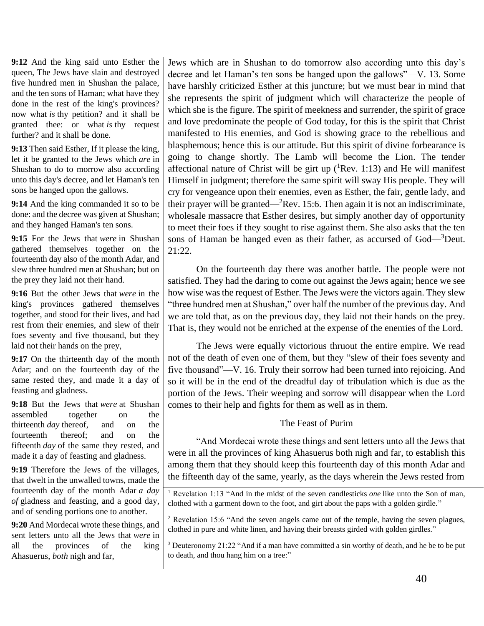**9:12** And the king said unto Esther the queen, The Jews have slain and destroyed five hundred men in Shushan the palace, and the ten sons of Haman; what have they done in the rest of the king's provinces? now what *is* thy petition? and it shall be granted thee: or what *is* thy request further? and it shall be done.

**9:13** Then said Esther, If it please the king, let it be granted to the Jews which *are* in Shushan to do to morrow also according unto this day's decree, and let Haman's ten sons be hanged upon the gallows.

**9:14** And the king commanded it so to be done: and the decree was given at Shushan; and they hanged Haman's ten sons.

**9:15** For the Jews that *were* in Shushan gathered themselves together on the fourteenth day also of the month Adar, and slew three hundred men at Shushan; but on the prey they laid not their hand.

**9:16** But the other Jews that *were* in the king's provinces gathered themselves together, and stood for their lives, and had rest from their enemies, and slew of their foes seventy and five thousand, but they laid not their hands on the prey,

**9:17** On the thirteenth day of the month Adar; and on the fourteenth day of the same rested they, and made it a day of feasting and gladness.

**9:18** But the Jews that *were* at Shushan assembled together on the thirteenth *day* thereof, and on the fourteenth thereof; and on the fifteenth *day* of the same they rested, and made it a day of feasting and gladness.

**9:19** Therefore the Jews of the villages, that dwelt in the unwalled towns, made the fourteenth day of the month Adar *a day of* gladness and feasting, and a good day, and of sending portions one to another.

**9:20** And Mordecai wrote these things, and sent letters unto all the Jews that *were* in all the provinces of the king Ahasuerus, *both* nigh and far,

Jews which are in Shushan to do tomorrow also according unto this day's decree and let Haman's ten sons be hanged upon the gallows"—V. 13. Some have harshly criticized Esther at this juncture; but we must bear in mind that she represents the spirit of judgment which will characterize the people of which she is the figure. The spirit of meekness and surrender, the spirit of grace and love predominate the people of God today, for this is the spirit that Christ manifested to His enemies, and God is showing grace to the rebellious and blasphemous; hence this is our attitude. But this spirit of divine forbearance is going to change shortly. The Lamb will become the Lion. The tender affectional nature of Christ will be girt up  $(^1$ Rev. 1:13) and He will manifest Himself in judgment; therefore the same spirit will sway His people. They will cry for vengeance upon their enemies, even as Esther, the fair, gentle lady, and their prayer will be granted— ${}^{2}$ Rev. 15:6. Then again it is not an indiscriminate, wholesale massacre that Esther desires, but simply another day of opportunity to meet their foes if they sought to rise against them. She also asks that the ten sons of Haman be hanged even as their father, as accursed of God—<sup>3</sup>Deut. 21:22.

On the fourteenth day there was another battle. The people were not satisfied. They had the daring to come out against the Jews again; hence we see how wise was the request of Esther. The Jews were the victors again. They slew "three hundred men at Shushan," over half the number of the previous day. And we are told that, as on the previous day, they laid not their hands on the prey. That is, they would not be enriched at the expense of the enemies of the Lord.

The Jews were equally victorious thruout the entire empire. We read not of the death of even one of them, but they "slew of their foes seventy and five thousand"—V. 16. Truly their sorrow had been turned into rejoicing. And so it will be in the end of the dreadful day of tribulation which is due as the portion of the Jews. Their weeping and sorrow will disappear when the Lord comes to their help and fights for them as well as in them.

# The Feast of Purim

"And Mordecai wrote these things and sent letters unto all the Jews that were in all the provinces of king Ahasuerus both nigh and far, to establish this among them that they should keep this fourteenth day of this month Adar and the fifteenth day of the same, yearly, as the days wherein the Jews rested from

<sup>1</sup> Revelation 1:13 "And in the midst of the seven candlesticks *one* like unto the Son of man, clothed with a garment down to the foot, and girt about the paps with a golden girdle."

<sup>&</sup>lt;sup>2</sup> Revelation 15:6 "And the seven angels came out of the temple, having the seven plagues, clothed in pure and white linen, and having their breasts girded with golden girdles."

<sup>3</sup> Deuteronomy 21:22 "And if a man have committed a sin worthy of death, and he be to be put to death, and thou hang him on a tree:"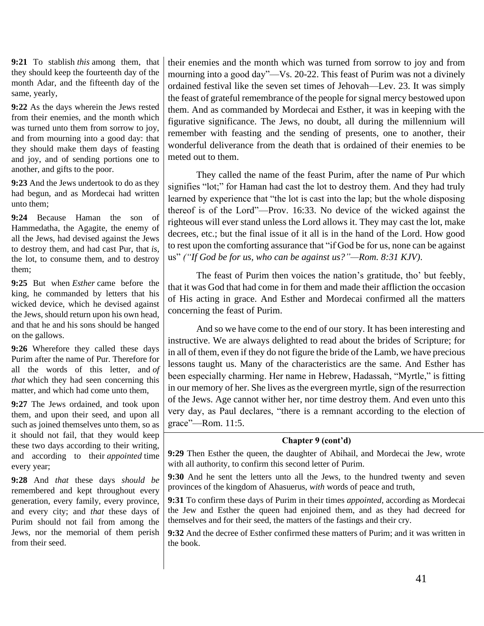**9:21** To stablish *this* among them, that they should keep the fourteenth day of the month Adar, and the fifteenth day of the same, yearly,

**9:22** As the days wherein the Jews rested from their enemies, and the month which was turned unto them from sorrow to joy, and from mourning into a good day: that they should make them days of feasting and joy, and of sending portions one to another, and gifts to the poor.

**9:23** And the Jews undertook to do as they had begun, and as Mordecai had written unto them;

**9:24** Because Haman the son of Hammedatha, the Agagite, the enemy of all the Jews, had devised against the Jews to destroy them, and had cast Pur, that *is*, the lot, to consume them, and to destroy them;

**9:25** But when *Esther* came before the king, he commanded by letters that his wicked device, which he devised against the Jews, should return upon his own head, and that he and his sons should be hanged on the gallows.

**9:26** Wherefore they called these days Purim after the name of Pur. Therefore for all the words of this letter, and *of that* which they had seen concerning this matter, and which had come unto them,

**9:27** The Jews ordained, and took upon them, and upon their seed, and upon all such as joined themselves unto them, so as it should not fail, that they would keep these two days according to their writing, and according to their *appointed* time every year;

**9:28** And *that* these days *should be* remembered and kept throughout every generation, every family, every province, and every city; and *that* these days of Purim should not fail from among the Jews, nor the memorial of them perish from their seed.

their enemies and the month which was turned from sorrow to joy and from mourning into a good day"—Vs. 20-22. This feast of Purim was not a divinely ordained festival like the seven set times of Jehovah—Lev. 23. It was simply the feast of grateful remembrance of the people for signal mercy bestowed upon them. And as commanded by Mordecai and Esther, it was in keeping with the figurative significance. The Jews, no doubt, all during the millennium will remember with feasting and the sending of presents, one to another, their wonderful deliverance from the death that is ordained of their enemies to be meted out to them.

They called the name of the feast Purim, after the name of Pur which signifies "lot;" for Haman had cast the lot to destroy them. And they had truly learned by experience that "the lot is cast into the lap; but the whole disposing thereof is of the Lord"—Prov. 16:33. No device of the wicked against the righteous will ever stand unless the Lord allows it. They may cast the lot, make decrees, etc.; but the final issue of it all is in the hand of the Lord. How good to rest upon the comforting assurance that "if God be for us, none can be against us" *("If God be for us, who can be against us?"—Rom. 8:31 KJV)*.

The feast of Purim then voices the nation's gratitude, tho' but feebly, that it was God that had come in for them and made their affliction the occasion of His acting in grace. And Esther and Mordecai confirmed all the matters concerning the feast of Purim.

And so we have come to the end of our story. It has been interesting and instructive. We are always delighted to read about the brides of Scripture; for in all of them, even if they do not figure the bride of the Lamb, we have precious lessons taught us. Many of the characteristics are the same. And Esther has been especially charming. Her name in Hebrew, Hadassah, "Myrtle," is fitting in our memory of her. She lives as the evergreen myrtle, sign of the resurrection of the Jews. Age cannot wither her, nor time destroy them. And even unto this very day, as Paul declares, "there is a remnant according to the election of grace"—Rom. 11:5.

## **Chapter 9 (cont'd)**

**9:29** Then Esther the queen, the daughter of Abihail, and Mordecai the Jew, wrote with all authority, to confirm this second letter of Purim.

**9:30** And he sent the letters unto all the Jews, to the hundred twenty and seven provinces of the kingdom of Ahasuerus, *with* words of peace and truth,

**9:31** To confirm these days of Purim in their times *appointed*, according as Mordecai the Jew and Esther the queen had enjoined them, and as they had decreed for themselves and for their seed, the matters of the fastings and their cry.

**9:32** And the decree of Esther confirmed these matters of Purim; and it was written in the book.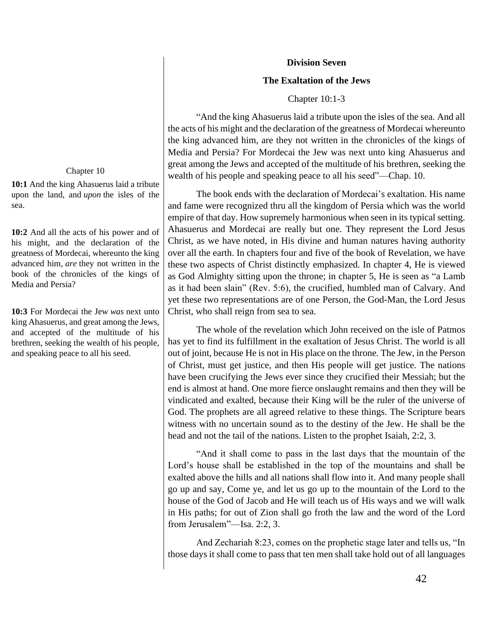## **Division Seven**

## **The Exaltation of the Jews**

#### Chapter 10:1-3

"And the king Ahasuerus laid a tribute upon the isles of the sea. And all the acts of his might and the declaration of the greatness of Mordecai whereunto the king advanced him, are they not written in the chronicles of the kings of Media and Persia? For Mordecai the Jew was next unto king Ahasuerus and great among the Jews and accepted of the multitude of his brethren, seeking the wealth of his people and speaking peace to all his seed"—Chap. 10.

The book ends with the declaration of Mordecai's exaltation. His name and fame were recognized thru all the kingdom of Persia which was the world empire of that day. How supremely harmonious when seen in its typical setting. Ahasuerus and Mordecai are really but one. They represent the Lord Jesus Christ, as we have noted, in His divine and human natures having authority over all the earth. In chapters four and five of the book of Revelation, we have these two aspects of Christ distinctly emphasized. In chapter 4, He is viewed as God Almighty sitting upon the throne; in chapter 5, He is seen as "a Lamb as it had been slain" (Rev. 5:6), the crucified, humbled man of Calvary. And yet these two representations are of one Person, the God-Man, the Lord Jesus Christ, who shall reign from sea to sea.

The whole of the revelation which John received on the isle of Patmos has yet to find its fulfillment in the exaltation of Jesus Christ. The world is all out of joint, because He is not in His place on the throne. The Jew, in the Person of Christ, must get justice, and then His people will get justice. The nations have been crucifying the Jews ever since they crucified their Messiah; but the end is almost at hand. One more fierce onslaught remains and then they will be vindicated and exalted, because their King will be the ruler of the universe of God. The prophets are all agreed relative to these things. The Scripture bears witness with no uncertain sound as to the destiny of the Jew. He shall be the head and not the tail of the nations. Listen to the prophet Isaiah, 2:2, 3.

"And it shall come to pass in the last days that the mountain of the Lord's house shall be established in the top of the mountains and shall be exalted above the hills and all nations shall flow into it. And many people shall go up and say, Come ye, and let us go up to the mountain of the Lord to the house of the God of Jacob and He will teach us of His ways and we will walk in His paths; for out of Zion shall go froth the law and the word of the Lord from Jerusalem"—Isa. 2:2, 3.

And Zechariah 8:23, comes on the prophetic stage later and tells us, "In those days it shall come to pass that ten men shall take hold out of all languages

#### Chapter 10

**10:1** And the king Ahasuerus laid a tribute upon the land, and *upon* the isles of the sea.

**10:2** And all the acts of his power and of his might, and the declaration of the greatness of Mordecai, whereunto the king advanced him, *are* they not written in the book of the chronicles of the kings of Media and Persia?

**10:3** For Mordecai the Jew *was* next unto king Ahasuerus, and great among the Jews, and accepted of the multitude of his brethren, seeking the wealth of his people, and speaking peace to all his seed.